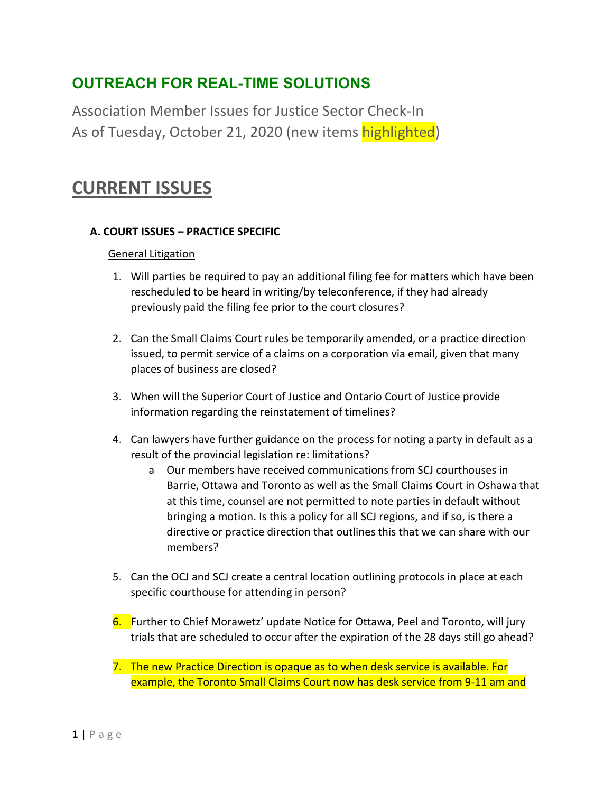## **OUTREACH FOR REAL-TIME SOLUTIONS**

Association Member Issues for Justice Sector Check-In As of Tuesday, October 21, 2020 (new items highlighted)

# **CURRENT ISSUES**

#### **A. COURT ISSUES – PRACTICE SPECIFIC**

#### General Litigation

- 1. Will parties be required to pay an additional filing fee for matters which have been rescheduled to be heard in writing/by teleconference, if they had already previously paid the filing fee prior to the court closures?
- 2. Can the Small Claims Court rules be temporarily amended, or a practice direction issued, to permit service of a claims on a corporation via email, given that many places of business are closed?
- 3. When will the Superior Court of Justice and Ontario Court of Justice provide information regarding the reinstatement of timelines?
- 4. Can lawyers have further guidance on the process for noting a party in default as a result of the provincial legislation re: limitations?
	- a Our members have received communications from SCJ courthouses in Barrie, Ottawa and Toronto as well as the Small Claims Court in Oshawa that at this time, counsel are not permitted to note parties in default without bringing a motion. Is this a policy for all SCJ regions, and if so, is there a directive or practice direction that outlines this that we can share with our members?
- 5. Can the OCJ and SCJ create a central location outlining protocols in place at each specific courthouse for attending in person?
- 6. Further to Chief Morawetz' update Notice for Ottawa, Peel and Toronto, will jury trials that are scheduled to occur after the expiration of the 28 days still go ahead?
- 7. The new Practice Direction is opaque as to when desk service is available. For example, the Toronto Small Claims Court now has desk service from 9-11 am and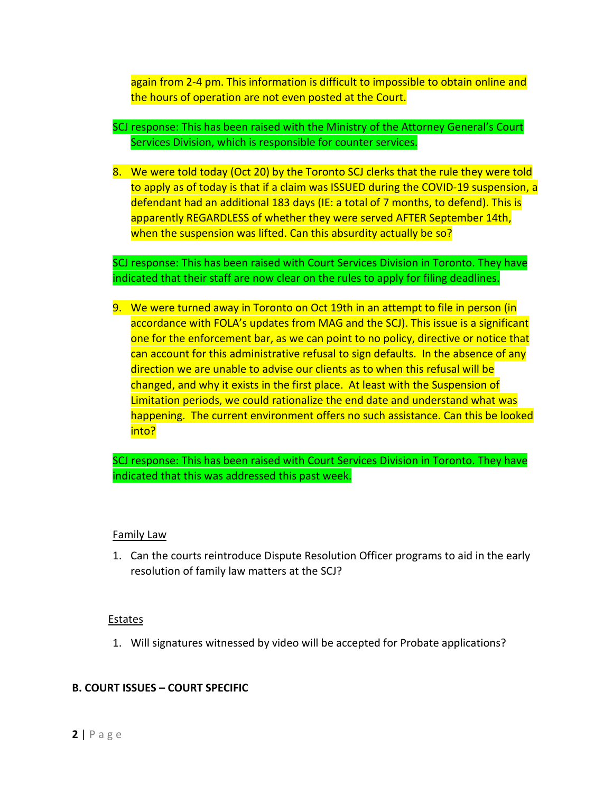again from 2-4 pm. This information is difficult to impossible to obtain online and the hours of operation are not even posted at the Court.

- SCJ response: This has been raised with the Ministry of the Attorney General's Court Services Division, which is responsible for counter services.
- 8. We were told today (Oct 20) by the Toronto SCJ clerks that the rule they were told to apply as of today is that if a claim was ISSUED during the COVID-19 suspension, a defendant had an additional 183 days (IE: a total of 7 months, to defend). This is apparently REGARDLESS of whether they were served AFTER September 14th, when the suspension was lifted. Can this absurdity actually be so?

SCJ response: This has been raised with Court Services Division in Toronto. They have indicated that their staff are now clear on the rules to apply for filing deadlines.

9. We were turned away in Toronto on Oct 19th in an attempt to file in person (in accordance with FOLA's updates from MAG and the SCJ). This issue is a significant one for the enforcement bar, as we can point to no policy, directive or notice that can account for this administrative refusal to sign defaults. In the absence of any direction we are unable to advise our clients as to when this refusal will be changed, and why it exists in the first place. At least with the Suspension of Limitation periods, we could rationalize the end date and understand what was happening. The current environment offers no such assistance. Can this be looked into?

SCJ response: This has been raised with Court Services Division in Toronto. They have indicated that this was addressed this past week.

#### Family Law

1. Can the courts reintroduce Dispute Resolution Officer programs to aid in the early resolution of family law matters at the SCJ?

#### **Estates**

1. Will signatures witnessed by video will be accepted for Probate applications?

#### **B. COURT ISSUES – COURT SPECIFIC**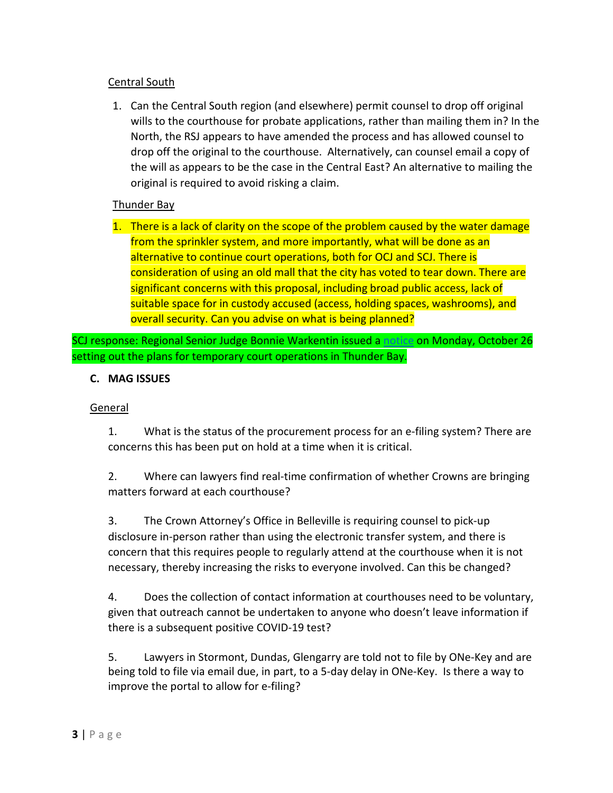## Central South

1. Can the Central South region (and elsewhere) permit counsel to drop off original wills to the courthouse for probate applications, rather than mailing them in? In the North, the RSJ appears to have amended the process and has allowed counsel to drop off the original to the courthouse. Alternatively, can counsel email a copy of the will as appears to be the case in the Central East? An alternative to mailing the original is required to avoid risking a claim.

## Thunder Bay

1. There is a lack of clarity on the scope of the problem caused by the water damage from the sprinkler system, and more importantly, what will be done as an alternative to continue court operations, both for OCJ and SCJ. There is consideration of using an old mall that the city has voted to tear down. There are significant concerns with this proposal, including broad public access, lack of suitable space for in custody accused (access, holding spaces, washrooms), and overall security. Can you advise on what is being planned?

SCJ response: Regional Senior Judge Bonnie Warkentin issued a [notice](https://www.ontariocourts.ca/scj/practice/practice-directions/northwest/thunder-bay-courthouse-closure/) on Monday, October 26 setting out the plans for temporary court operations in Thunder Bay.

## **C. MAG ISSUES**

## **General**

1. What is the status of the procurement process for an e-filing system? There are concerns this has been put on hold at a time when it is critical.

2. Where can lawyers find real-time confirmation of whether Crowns are bringing matters forward at each courthouse?

3. The Crown Attorney's Office in Belleville is requiring counsel to pick-up disclosure in-person rather than using the electronic transfer system, and there is concern that this requires people to regularly attend at the courthouse when it is not necessary, thereby increasing the risks to everyone involved. Can this be changed?

4. Does the collection of contact information at courthouses need to be voluntary, given that outreach cannot be undertaken to anyone who doesn't leave information if there is a subsequent positive COVID-19 test?

5. Lawyers in Stormont, Dundas, Glengarry are told not to file by ONe-Key and are being told to file via email due, in part, to a 5-day delay in ONe-Key. Is there a way to improve the portal to allow for e-filing?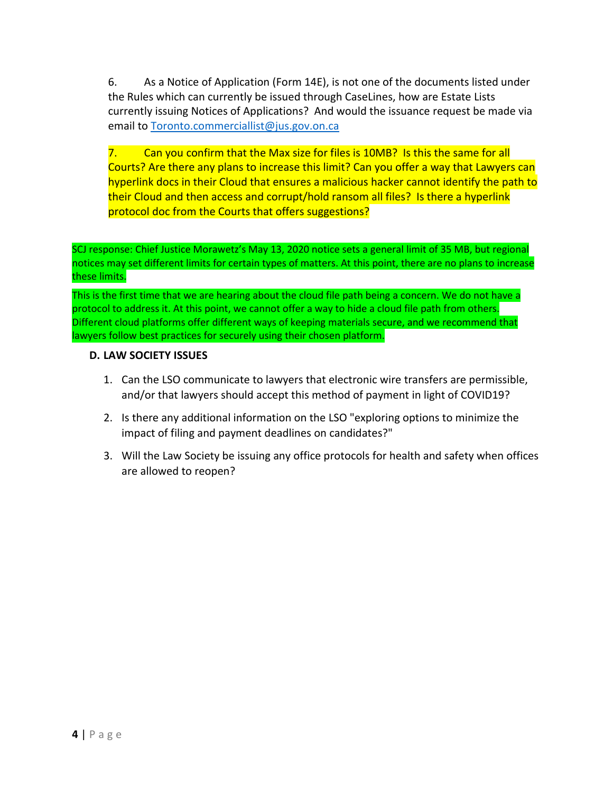6. As a Notice of Application (Form 14E), is not one of the documents listed under the Rules which can currently be issued through CaseLines, how are Estate Lists currently issuing Notices of Applications? And would the issuance request be made via email to [Toronto.commerciallist@jus.gov.on.ca](mailto:Toronto.commerciallist@jus.gov.on.ca)

7. Can you confirm that the Max size for files is 10MB? Is this the same for all Courts? Are there any plans to increase this limit? Can you offer a way that Lawyers can hyperlink docs in their Cloud that ensures a malicious hacker cannot identify the path to their Cloud and then access and corrupt/hold ransom all files? Is there a hyperlink protocol doc from the Courts that offers suggestions?

SCJ response: Chief Justice Morawetz's May 13, 2020 notice sets a general limit of 35 MB, but regional notices may set different limits for certain types of matters. At this point, there are no plans to increase these limits.

This is the first time that we are hearing about the cloud file path being a concern. We do not have a protocol to address it. At this point, we cannot offer a way to hide a cloud file path from others. Different cloud platforms offer different ways of keeping materials secure, and we recommend that lawyers follow best practices for securely using their chosen platform.

#### **D. LAW SOCIETY ISSUES**

- 1. Can the LSO communicate to lawyers that electronic wire transfers are permissible, and/or that lawyers should accept this method of payment in light of COVID19?
- 2. Is there any additional information on the LSO "exploring options to minimize the impact of filing and payment deadlines on candidates?"
- 3. Will the Law Society be issuing any office protocols for health and safety when offices are allowed to reopen?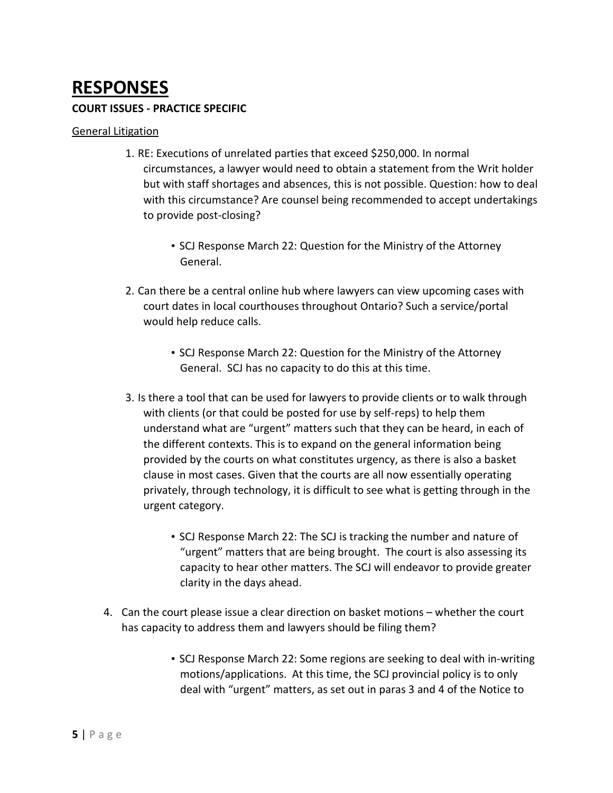# **RESPONSES**

#### **COURT ISSUES - PRACTICE SPECIFIC**

#### General Litigation

- 1. RE: Executions of unrelated parties that exceed \$250,000. In normal circumstances, a lawyer would need to obtain a statement from the Writ holder but with staff shortages and absences, this is not possible. Question: how to deal with this circumstance? Are counsel being recommended to accept undertakings to provide post-closing?
	- SCJ Response March 22: Question for the Ministry of the Attorney General.
- 2. Can there be a central online hub where lawyers can view upcoming cases with court dates in local courthouses throughout Ontario? Such a service/portal would help reduce calls.
	- SCJ Response March 22: Question for the Ministry of the Attorney General. SCJ has no capacity to do this at this time.
- 3. Is there a tool that can be used for lawyers to provide clients or to walk through with clients (or that could be posted for use by self-reps) to help them understand what are "urgent" matters such that they can be heard, in each of the different contexts. This is to expand on the general information being provided by the courts on what constitutes urgency, as there is also a basket clause in most cases. Given that the courts are all now essentially operating privately, through technology, it is difficult to see what is getting through in the urgent category.
	- SCJ Response March 22: The SCJ is tracking the number and nature of "urgent" matters that are being brought. The court is also assessing its capacity to hear other matters. The SCJ will endeavor to provide greater clarity in the days ahead.
- 4. Can the court please issue a clear direction on basket motions whether the court has capacity to address them and lawyers should be filing them?
	- SCJ Response March 22: Some regions are seeking to deal with in-writing motions/applications. At this time, the SCJ provincial policy is to only deal with "urgent" matters, as set out in paras 3 and 4 of the Notice to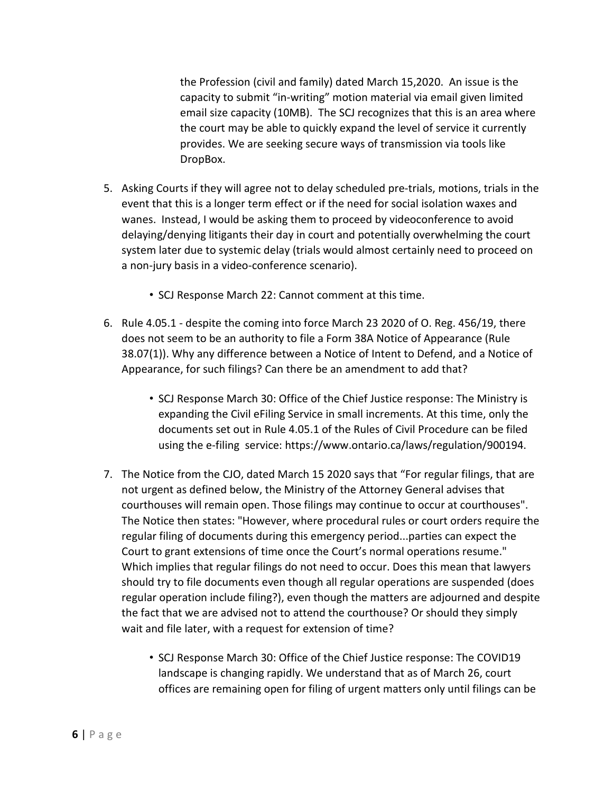the Profession (civil and family) dated March 15,2020. An issue is the capacity to submit "in-writing" motion material via email given limited email size capacity (10MB). The SCJ recognizes that this is an area where the court may be able to quickly expand the level of service it currently provides. We are seeking secure ways of transmission via tools like DropBox.

- 5. Asking Courts if they will agree not to delay scheduled pre-trials, motions, trials in the event that this is a longer term effect or if the need for social isolation waxes and wanes. Instead, I would be asking them to proceed by videoconference to avoid delaying/denying litigants their day in court and potentially overwhelming the court system later due to systemic delay (trials would almost certainly need to proceed on a non-jury basis in a video-conference scenario).
	- SCJ Response March 22: Cannot comment at this time.
- 6. Rule 4.05.1 despite the coming into force March 23 2020 of O. Reg. 456/19, there does not seem to be an authority to file a Form 38A Notice of Appearance (Rule 38.07(1)). Why any difference between a Notice of Intent to Defend, and a Notice of Appearance, for such filings? Can there be an amendment to add that?
	- SCJ Response March 30: Office of the Chief Justice response: The Ministry is expanding the Civil eFiling Service in small increments. At this time, only the documents set out in Rule 4.05.1 of the Rules of Civil Procedure can be filed using the e-filing service: https://www.ontario.ca/laws/regulation/900194.
- 7. The Notice from the CJO, dated March 15 2020 says that "For regular filings, that are not urgent as defined below, the Ministry of the Attorney General advises that courthouses will remain open. Those filings may continue to occur at courthouses". The Notice then states: "However, where procedural rules or court orders require the regular filing of documents during this emergency period...parties can expect the Court to grant extensions of time once the Court's normal operations resume." Which implies that regular filings do not need to occur. Does this mean that lawyers should try to file documents even though all regular operations are suspended (does regular operation include filing?), even though the matters are adjourned and despite the fact that we are advised not to attend the courthouse? Or should they simply wait and file later, with a request for extension of time?
	- SCJ Response March 30: Office of the Chief Justice response: The COVID19 landscape is changing rapidly. We understand that as of March 26, court offices are remaining open for filing of urgent matters only until filings can be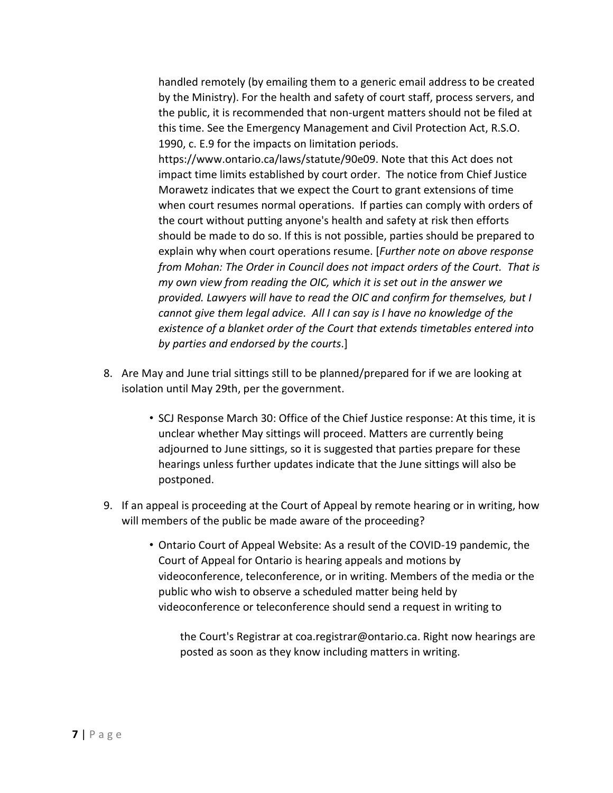handled remotely (by emailing them to a generic email address to be created by the Ministry). For the health and safety of court staff, process servers, and the public, it is recommended that non-urgent matters should not be filed at this time. See the Emergency Management and Civil Protection Act, R.S.O. 1990, c. E.9 for the impacts on limitation periods.

https://www.ontario.ca/laws/statute/90e09. Note that this Act does not impact time limits established by court order. The notice from Chief Justice Morawetz indicates that we expect the Court to grant extensions of time when court resumes normal operations. If parties can comply with orders of the court without putting anyone's health and safety at risk then efforts should be made to do so. If this is not possible, parties should be prepared to explain why when court operations resume. [*Further note on above response from Mohan: The Order in Council does not impact orders of the Court. That is my own view from reading the OIC, which it is set out in the answer we provided. Lawyers will have to read the OIC and confirm for themselves, but I cannot give them legal advice. All I can say is I have no knowledge of the existence of a blanket order of the Court that extends timetables entered into by parties and endorsed by the courts*.]

- 8. Are May and June trial sittings still to be planned/prepared for if we are looking at isolation until May 29th, per the government.
	- SCJ Response March 30: Office of the Chief Justice response: At this time, it is unclear whether May sittings will proceed. Matters are currently being adjourned to June sittings, so it is suggested that parties prepare for these hearings unless further updates indicate that the June sittings will also be postponed.
- 9. If an appeal is proceeding at the Court of Appeal by remote hearing or in writing, how will members of the public be made aware of the proceeding?
	- Ontario Court of Appeal Website: As a result of the COVID-19 pandemic, the Court of Appeal for Ontario is hearing appeals and motions by videoconference, teleconference, or in writing. Members of the media or the public who wish to observe a scheduled matter being held by videoconference or teleconference should send a request in writing to

the Court's Registrar at coa.registrar@ontario.ca. Right now hearings are posted as soon as they know including matters in writing.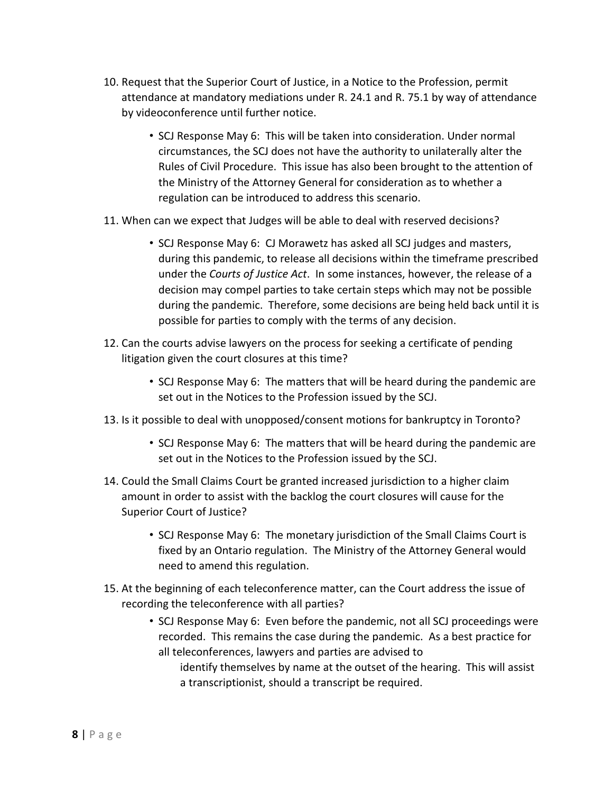- 10. Request that the Superior Court of Justice, in a Notice to the Profession, permit attendance at mandatory mediations under R. 24.1 and R. 75.1 by way of attendance by videoconference until further notice.
	- SCJ Response May 6: This will be taken into consideration. Under normal circumstances, the SCJ does not have the authority to unilaterally alter the Rules of Civil Procedure. This issue has also been brought to the attention of the Ministry of the Attorney General for consideration as to whether a regulation can be introduced to address this scenario.
- 11. When can we expect that Judges will be able to deal with reserved decisions?
	- SCJ Response May 6: CJ Morawetz has asked all SCJ judges and masters, during this pandemic, to release all decisions within the timeframe prescribed under the *Courts of Justice Act*. In some instances, however, the release of a decision may compel parties to take certain steps which may not be possible during the pandemic. Therefore, some decisions are being held back until it is possible for parties to comply with the terms of any decision.
- 12. Can the courts advise lawyers on the process for seeking a certificate of pending litigation given the court closures at this time?
	- SCJ Response May 6: The matters that will be heard during the pandemic are set out in the Notices to the Profession issued by the SCJ.
- 13. Is it possible to deal with unopposed/consent motions for bankruptcy in Toronto?
	- SCJ Response May 6: The matters that will be heard during the pandemic are set out in the Notices to the Profession issued by the SCJ.
- 14. Could the Small Claims Court be granted increased jurisdiction to a higher claim amount in order to assist with the backlog the court closures will cause for the Superior Court of Justice?
	- SCJ Response May 6: The monetary jurisdiction of the Small Claims Court is fixed by an Ontario regulation. The Ministry of the Attorney General would need to amend this regulation.
- 15. At the beginning of each teleconference matter, can the Court address the issue of recording the teleconference with all parties?
	- SCJ Response May 6: Even before the pandemic, not all SCJ proceedings were recorded. This remains the case during the pandemic. As a best practice for all teleconferences, lawyers and parties are advised to
		- identify themselves by name at the outset of the hearing. This will assist a transcriptionist, should a transcript be required.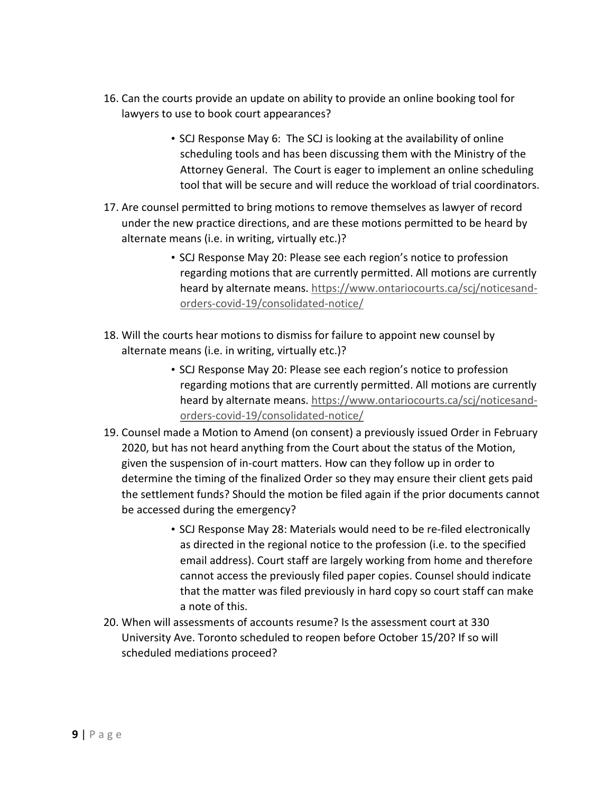- 16. Can the courts provide an update on ability to provide an online booking tool for lawyers to use to book court appearances?
	- SCJ Response May 6: The SCJ is looking at the availability of online scheduling tools and has been discussing them with the Ministry of the Attorney General. The Court is eager to implement an online scheduling tool that will be secure and will reduce the workload of trial coordinators.
- 17. Are counsel permitted to bring motions to remove themselves as lawyer of record under the new practice directions, and are these motions permitted to be heard by alternate means (i.e. in writing, virtually etc.)?
	- SCJ Response May 20: Please see each region's notice to profession regarding motions that are currently permitted. All motions are currently heard by alternate means. https://www.ontariocourts.ca/scj/noticesandorders-covid-19/consolidated-notice/
- 18. Will the courts hear motions to dismiss for failure to appoint new counsel by alternate means (i.e. in writing, virtually etc.)?
	- SCJ Response May 20: Please see each region's notice to profession regarding motions that are currently permitted. All motions are currently heard by alternate means. https://www.ontariocourts.ca/scj/noticesandorders-covid-19/consolidated-notice/
- 19. Counsel made a Motion to Amend (on consent) a previously issued Order in February 2020, but has not heard anything from the Court about the status of the Motion, given the suspension of in-court matters. How can they follow up in order to determine the timing of the finalized Order so they may ensure their client gets paid the settlement funds? Should the motion be filed again if the prior documents cannot be accessed during the emergency?
	- SCJ Response May 28: Materials would need to be re-filed electronically as directed in the regional notice to the profession (i.e. to the specified email address). Court staff are largely working from home and therefore cannot access the previously filed paper copies. Counsel should indicate that the matter was filed previously in hard copy so court staff can make a note of this.
- 20. When will assessments of accounts resume? Is the assessment court at 330 University Ave. Toronto scheduled to reopen before October 15/20? If so will scheduled mediations proceed?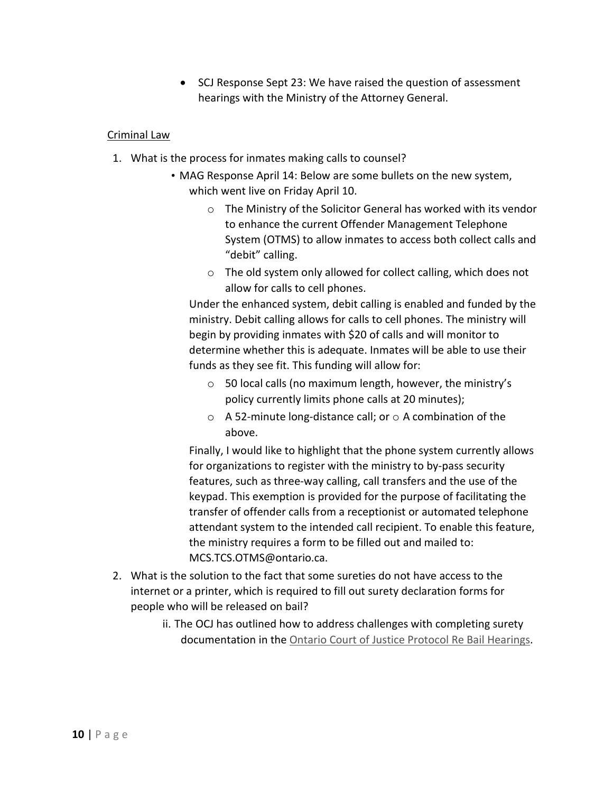• SCJ Response Sept 23: We have raised the question of assessment hearings with the Ministry of the Attorney General.

#### Criminal Law

- 1. What is the process for inmates making calls to counsel?
	- MAG Response April 14: Below are some bullets on the new system, which went live on Friday April 10.
		- o The Ministry of the Solicitor General has worked with its vendor to enhance the current Offender Management Telephone System (OTMS) to allow inmates to access both collect calls and "debit" calling.
		- o The old system only allowed for collect calling, which does not allow for calls to cell phones.

Under the enhanced system, debit calling is enabled and funded by the ministry. Debit calling allows for calls to cell phones. The ministry will begin by providing inmates with \$20 of calls and will monitor to determine whether this is adequate. Inmates will be able to use their funds as they see fit. This funding will allow for:

- o 50 local calls (no maximum length, however, the ministry's policy currently limits phone calls at 20 minutes);
- $\circ$  A 52-minute long-distance call; or  $\circ$  A combination of the above.

Finally, I would like to highlight that the phone system currently allows for organizations to register with the ministry to by-pass security features, such as three-way calling, call transfers and the use of the keypad. This exemption is provided for the purpose of facilitating the transfer of offender calls from a receptionist or automated telephone attendant system to the intended call recipient. To enable this feature, the ministry requires a form to be filled out and mailed to: MCS.TCS.OTMS@ontario.ca.

- 2. What is the solution to the fact that some sureties do not have access to the internet or a printer, which is required to fill out surety declaration forms for people who will be released on bail?
	- ii. The OCJ has outlined how to address challenges with completing surety documentation in the Ontario Court of Justice Protocol Re Bail Hearings.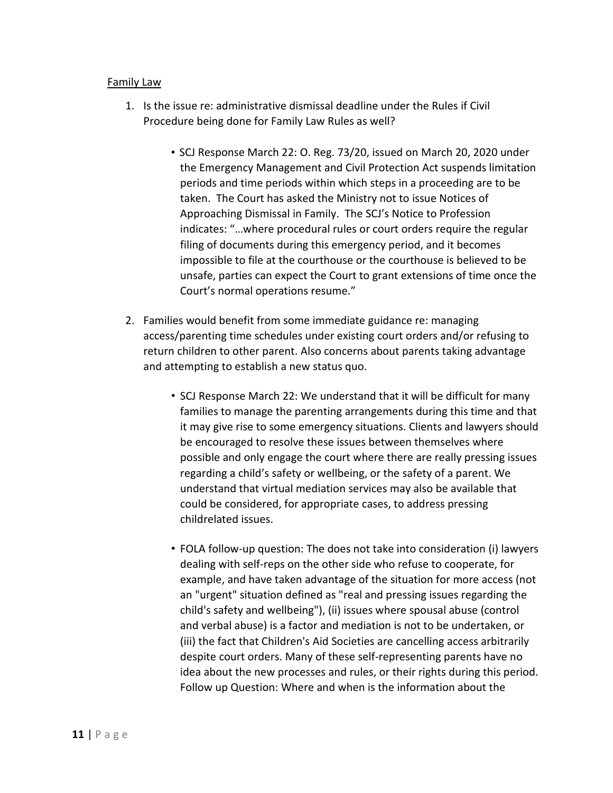#### Family Law

- 1. Is the issue re: administrative dismissal deadline under the Rules if Civil Procedure being done for Family Law Rules as well?
	- SCJ Response March 22: O. Reg. 73/20, issued on March 20, 2020 under the Emergency Management and Civil Protection Act suspends limitation periods and time periods within which steps in a proceeding are to be taken. The Court has asked the Ministry not to issue Notices of Approaching Dismissal in Family. The SCJ's Notice to Profession indicates: "…where procedural rules or court orders require the regular filing of documents during this emergency period, and it becomes impossible to file at the courthouse or the courthouse is believed to be unsafe, parties can expect the Court to grant extensions of time once the Court's normal operations resume."
- 2. Families would benefit from some immediate guidance re: managing access/parenting time schedules under existing court orders and/or refusing to return children to other parent. Also concerns about parents taking advantage and attempting to establish a new status quo.
	- SCJ Response March 22: We understand that it will be difficult for many families to manage the parenting arrangements during this time and that it may give rise to some emergency situations. Clients and lawyers should be encouraged to resolve these issues between themselves where possible and only engage the court where there are really pressing issues regarding a child's safety or wellbeing, or the safety of a parent. We understand that virtual mediation services may also be available that could be considered, for appropriate cases, to address pressing childrelated issues.
	- FOLA follow-up question: The does not take into consideration (i) lawyers dealing with self-reps on the other side who refuse to cooperate, for example, and have taken advantage of the situation for more access (not an "urgent" situation defined as "real and pressing issues regarding the child's safety and wellbeing"), (ii) issues where spousal abuse (control and verbal abuse) is a factor and mediation is not to be undertaken, or (iii) the fact that Children's Aid Societies are cancelling access arbitrarily despite court orders. Many of these self-representing parents have no idea about the new processes and rules, or their rights during this period. Follow up Question: Where and when is the information about the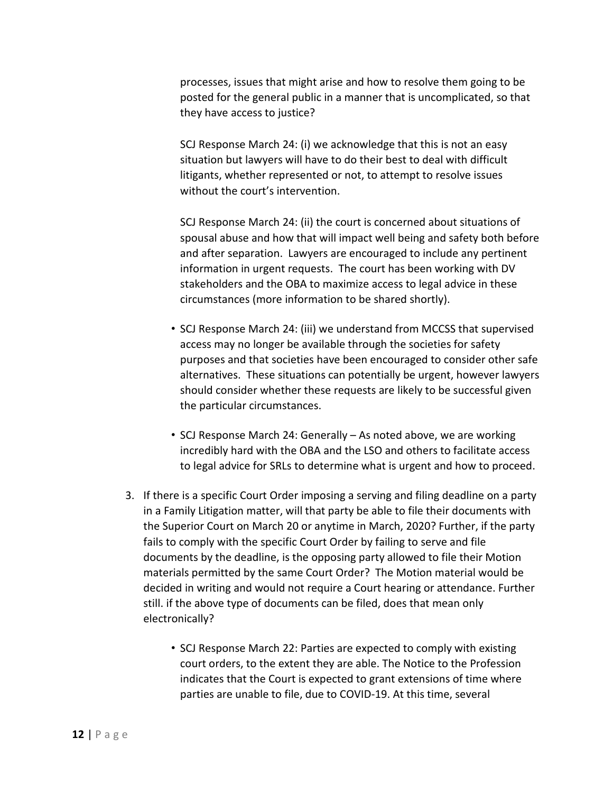processes, issues that might arise and how to resolve them going to be posted for the general public in a manner that is uncomplicated, so that they have access to justice?

SCJ Response March 24: (i) we acknowledge that this is not an easy situation but lawyers will have to do their best to deal with difficult litigants, whether represented or not, to attempt to resolve issues without the court's intervention.

SCJ Response March 24: (ii) the court is concerned about situations of spousal abuse and how that will impact well being and safety both before and after separation. Lawyers are encouraged to include any pertinent information in urgent requests. The court has been working with DV stakeholders and the OBA to maximize access to legal advice in these circumstances (more information to be shared shortly).

- SCJ Response March 24: (iii) we understand from MCCSS that supervised access may no longer be available through the societies for safety purposes and that societies have been encouraged to consider other safe alternatives. These situations can potentially be urgent, however lawyers should consider whether these requests are likely to be successful given the particular circumstances.
- SCJ Response March 24: Generally As noted above, we are working incredibly hard with the OBA and the LSO and others to facilitate access to legal advice for SRLs to determine what is urgent and how to proceed.
- 3. If there is a specific Court Order imposing a serving and filing deadline on a party in a Family Litigation matter, will that party be able to file their documents with the Superior Court on March 20 or anytime in March, 2020? Further, if the party fails to comply with the specific Court Order by failing to serve and file documents by the deadline, is the opposing party allowed to file their Motion materials permitted by the same Court Order? The Motion material would be decided in writing and would not require a Court hearing or attendance. Further still. if the above type of documents can be filed, does that mean only electronically?
	- SCJ Response March 22: Parties are expected to comply with existing court orders, to the extent they are able. The Notice to the Profession indicates that the Court is expected to grant extensions of time where parties are unable to file, due to COVID-19. At this time, several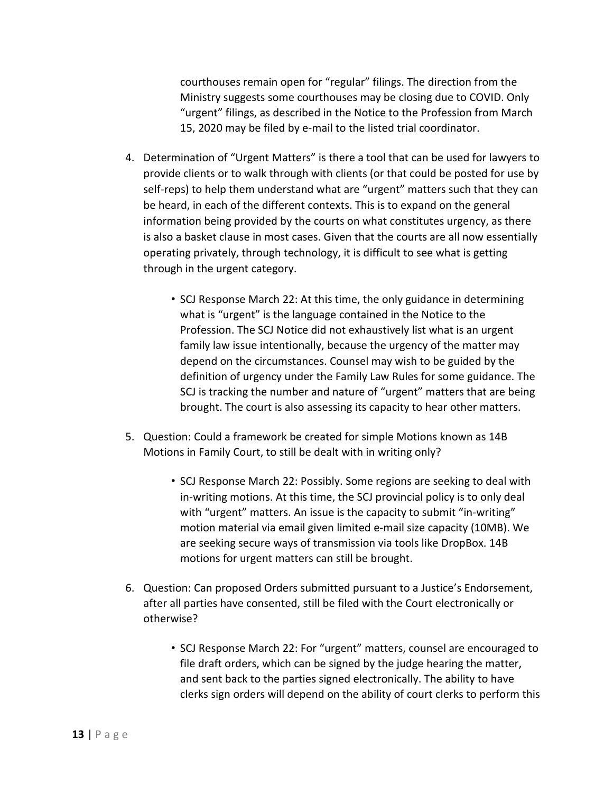courthouses remain open for "regular" filings. The direction from the Ministry suggests some courthouses may be closing due to COVID. Only "urgent" filings, as described in the Notice to the Profession from March 15, 2020 may be filed by e-mail to the listed trial coordinator.

- 4. Determination of "Urgent Matters" is there a tool that can be used for lawyers to provide clients or to walk through with clients (or that could be posted for use by self-reps) to help them understand what are "urgent" matters such that they can be heard, in each of the different contexts. This is to expand on the general information being provided by the courts on what constitutes urgency, as there is also a basket clause in most cases. Given that the courts are all now essentially operating privately, through technology, it is difficult to see what is getting through in the urgent category.
	- SCJ Response March 22: At this time, the only guidance in determining what is "urgent" is the language contained in the Notice to the Profession. The SCJ Notice did not exhaustively list what is an urgent family law issue intentionally, because the urgency of the matter may depend on the circumstances. Counsel may wish to be guided by the definition of urgency under the Family Law Rules for some guidance. The SCJ is tracking the number and nature of "urgent" matters that are being brought. The court is also assessing its capacity to hear other matters.
- 5. Question: Could a framework be created for simple Motions known as 14B Motions in Family Court, to still be dealt with in writing only?
	- SCJ Response March 22: Possibly. Some regions are seeking to deal with in-writing motions. At this time, the SCJ provincial policy is to only deal with "urgent" matters. An issue is the capacity to submit "in-writing" motion material via email given limited e-mail size capacity (10MB). We are seeking secure ways of transmission via tools like DropBox. 14B motions for urgent matters can still be brought.
- 6. Question: Can proposed Orders submitted pursuant to a Justice's Endorsement, after all parties have consented, still be filed with the Court electronically or otherwise?
	- SCJ Response March 22: For "urgent" matters, counsel are encouraged to file draft orders, which can be signed by the judge hearing the matter, and sent back to the parties signed electronically. The ability to have clerks sign orders will depend on the ability of court clerks to perform this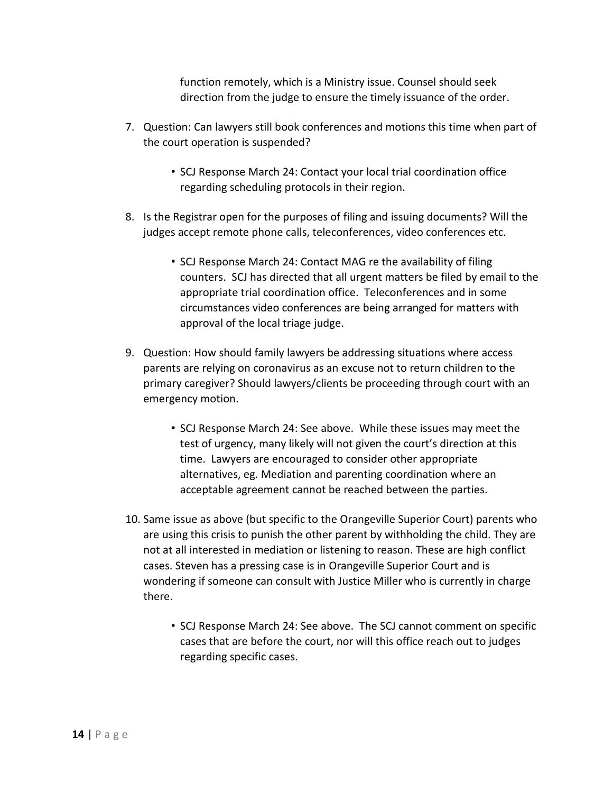function remotely, which is a Ministry issue. Counsel should seek direction from the judge to ensure the timely issuance of the order.

- 7. Question: Can lawyers still book conferences and motions this time when part of the court operation is suspended?
	- SCJ Response March 24: Contact your local trial coordination office regarding scheduling protocols in their region.
- 8. Is the Registrar open for the purposes of filing and issuing documents? Will the judges accept remote phone calls, teleconferences, video conferences etc.
	- SCJ Response March 24: Contact MAG re the availability of filing counters. SCJ has directed that all urgent matters be filed by email to the appropriate trial coordination office. Teleconferences and in some circumstances video conferences are being arranged for matters with approval of the local triage judge.
- 9. Question: How should family lawyers be addressing situations where access parents are relying on coronavirus as an excuse not to return children to the primary caregiver? Should lawyers/clients be proceeding through court with an emergency motion.
	- SCJ Response March 24: See above. While these issues may meet the test of urgency, many likely will not given the court's direction at this time. Lawyers are encouraged to consider other appropriate alternatives, eg. Mediation and parenting coordination where an acceptable agreement cannot be reached between the parties.
- 10. Same issue as above (but specific to the Orangeville Superior Court) parents who are using this crisis to punish the other parent by withholding the child. They are not at all interested in mediation or listening to reason. These are high conflict cases. Steven has a pressing case is in Orangeville Superior Court and is wondering if someone can consult with Justice Miller who is currently in charge there.
	- SCJ Response March 24: See above. The SCJ cannot comment on specific cases that are before the court, nor will this office reach out to judges regarding specific cases.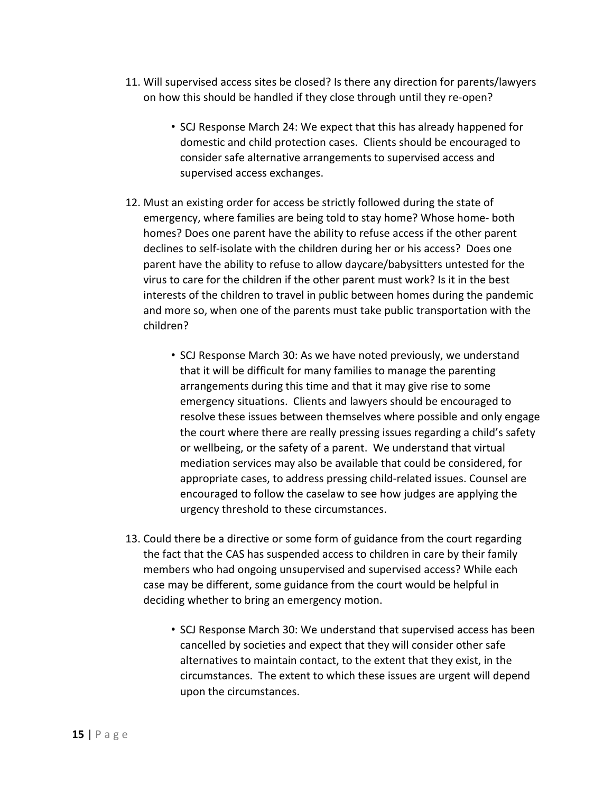- 11. Will supervised access sites be closed? Is there any direction for parents/lawyers on how this should be handled if they close through until they re-open?
	- SCJ Response March 24: We expect that this has already happened for domestic and child protection cases. Clients should be encouraged to consider safe alternative arrangements to supervised access and supervised access exchanges.
- 12. Must an existing order for access be strictly followed during the state of emergency, where families are being told to stay home? Whose home- both homes? Does one parent have the ability to refuse access if the other parent declines to self-isolate with the children during her or his access? Does one parent have the ability to refuse to allow daycare/babysitters untested for the virus to care for the children if the other parent must work? Is it in the best interests of the children to travel in public between homes during the pandemic and more so, when one of the parents must take public transportation with the children?
	- SCJ Response March 30: As we have noted previously, we understand that it will be difficult for many families to manage the parenting arrangements during this time and that it may give rise to some emergency situations. Clients and lawyers should be encouraged to resolve these issues between themselves where possible and only engage the court where there are really pressing issues regarding a child's safety or wellbeing, or the safety of a parent. We understand that virtual mediation services may also be available that could be considered, for appropriate cases, to address pressing child-related issues. Counsel are encouraged to follow the caselaw to see how judges are applying the urgency threshold to these circumstances.
- 13. Could there be a directive or some form of guidance from the court regarding the fact that the CAS has suspended access to children in care by their family members who had ongoing unsupervised and supervised access? While each case may be different, some guidance from the court would be helpful in deciding whether to bring an emergency motion.
	- SCJ Response March 30: We understand that supervised access has been cancelled by societies and expect that they will consider other safe alternatives to maintain contact, to the extent that they exist, in the circumstances. The extent to which these issues are urgent will depend upon the circumstances.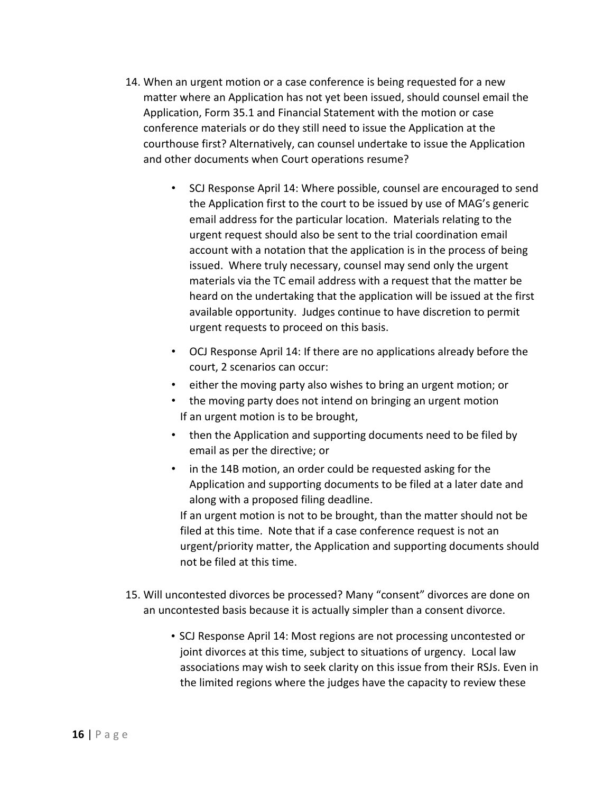- 14. When an urgent motion or a case conference is being requested for a new matter where an Application has not yet been issued, should counsel email the Application, Form 35.1 and Financial Statement with the motion or case conference materials or do they still need to issue the Application at the courthouse first? Alternatively, can counsel undertake to issue the Application and other documents when Court operations resume?
	- SCJ Response April 14: Where possible, counsel are encouraged to send the Application first to the court to be issued by use of MAG's generic email address for the particular location. Materials relating to the urgent request should also be sent to the trial coordination email account with a notation that the application is in the process of being issued. Where truly necessary, counsel may send only the urgent materials via the TC email address with a request that the matter be heard on the undertaking that the application will be issued at the first available opportunity. Judges continue to have discretion to permit urgent requests to proceed on this basis.
	- OCJ Response April 14: If there are no applications already before the court, 2 scenarios can occur:
	- either the moving party also wishes to bring an urgent motion; or
	- the moving party does not intend on bringing an urgent motion If an urgent motion is to be brought,
	- then the Application and supporting documents need to be filed by email as per the directive; or
	- in the 14B motion, an order could be requested asking for the Application and supporting documents to be filed at a later date and along with a proposed filing deadline.

If an urgent motion is not to be brought, than the matter should not be filed at this time. Note that if a case conference request is not an urgent/priority matter, the Application and supporting documents should not be filed at this time.

- 15. Will uncontested divorces be processed? Many "consent" divorces are done on an uncontested basis because it is actually simpler than a consent divorce.
	- SCJ Response April 14: Most regions are not processing uncontested or joint divorces at this time, subject to situations of urgency. Local law associations may wish to seek clarity on this issue from their RSJs. Even in the limited regions where the judges have the capacity to review these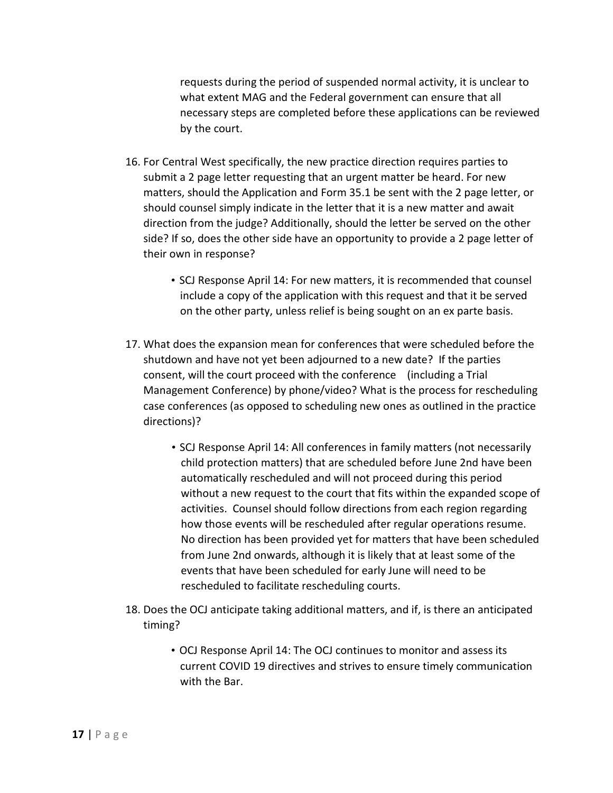requests during the period of suspended normal activity, it is unclear to what extent MAG and the Federal government can ensure that all necessary steps are completed before these applications can be reviewed by the court.

- 16. For Central West specifically, the new practice direction requires parties to submit a 2 page letter requesting that an urgent matter be heard. For new matters, should the Application and Form 35.1 be sent with the 2 page letter, or should counsel simply indicate in the letter that it is a new matter and await direction from the judge? Additionally, should the letter be served on the other side? If so, does the other side have an opportunity to provide a 2 page letter of their own in response?
	- SCJ Response April 14: For new matters, it is recommended that counsel include a copy of the application with this request and that it be served on the other party, unless relief is being sought on an ex parte basis.
- 17. What does the expansion mean for conferences that were scheduled before the shutdown and have not yet been adjourned to a new date? If the parties consent, will the court proceed with the conference (including a Trial Management Conference) by phone/video? What is the process for rescheduling case conferences (as opposed to scheduling new ones as outlined in the practice directions)?
	- SCJ Response April 14: All conferences in family matters (not necessarily child protection matters) that are scheduled before June 2nd have been automatically rescheduled and will not proceed during this period without a new request to the court that fits within the expanded scope of activities. Counsel should follow directions from each region regarding how those events will be rescheduled after regular operations resume. No direction has been provided yet for matters that have been scheduled from June 2nd onwards, although it is likely that at least some of the events that have been scheduled for early June will need to be rescheduled to facilitate rescheduling courts.
- 18. Does the OCJ anticipate taking additional matters, and if, is there an anticipated timing?
	- OCJ Response April 14: The OCJ continues to monitor and assess its current COVID 19 directives and strives to ensure timely communication with the Bar.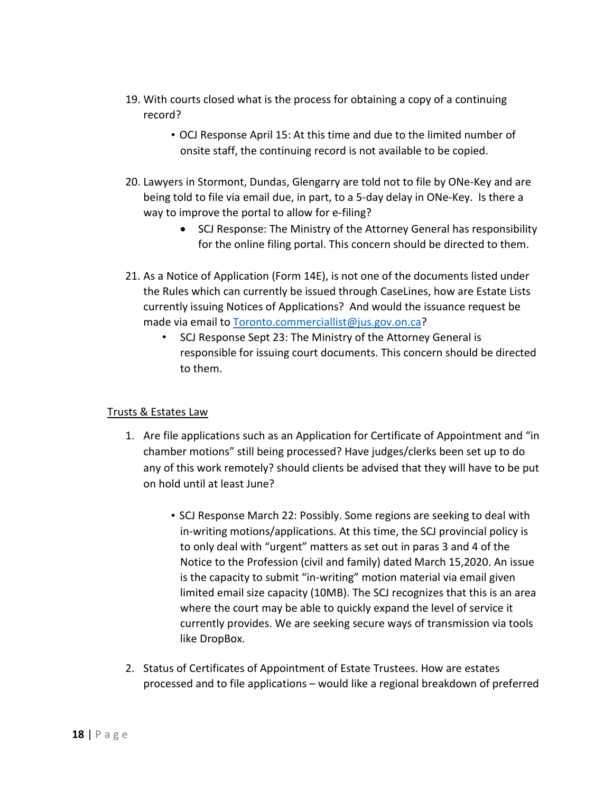- 19. With courts closed what is the process for obtaining a copy of a continuing record?
	- OCJ Response April 15: At this time and due to the limited number of onsite staff, the continuing record is not available to be copied.
- 20. Lawyers in Stormont, Dundas, Glengarry are told not to file by ONe-Key and are being told to file via email due, in part, to a 5-day delay in ONe-Key. Is there a way to improve the portal to allow for e-filing?
	- SCJ Response: The Ministry of the Attorney General has responsibility for the online filing portal. This concern should be directed to them.
- 21. As a Notice of Application (Form 14E), is not one of the documents listed under the Rules which can currently be issued through CaseLines, how are Estate Lists currently issuing Notices of Applications? And would the issuance request be made via email to [Toronto.commerciallist@jus.gov.on.ca?](mailto:Toronto.commerciallist@jus.gov.on.ca)
	- SCJ Response Sept 23: The Ministry of the Attorney General is responsible for issuing court documents. This concern should be directed to them.

## Trusts & Estates Law

- 1. Are file applications such as an Application for Certificate of Appointment and "in chamber motions" still being processed? Have judges/clerks been set up to do any of this work remotely? should clients be advised that they will have to be put on hold until at least June?
	- SCJ Response March 22: Possibly. Some regions are seeking to deal with in-writing motions/applications. At this time, the SCJ provincial policy is to only deal with "urgent" matters as set out in paras 3 and 4 of the Notice to the Profession (civil and family) dated March 15,2020. An issue is the capacity to submit "in-writing" motion material via email given limited email size capacity (10MB). The SCJ recognizes that this is an area where the court may be able to quickly expand the level of service it currently provides. We are seeking secure ways of transmission via tools like DropBox.
- 2. Status of Certificates of Appointment of Estate Trustees. How are estates processed and to file applications – would like a regional breakdown of preferred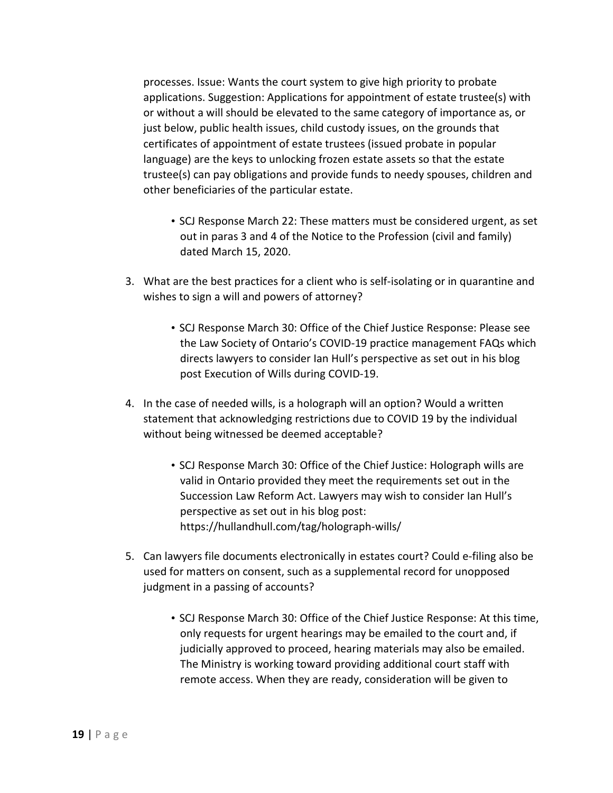processes. Issue: Wants the court system to give high priority to probate applications. Suggestion: Applications for appointment of estate trustee(s) with or without a will should be elevated to the same category of importance as, or just below, public health issues, child custody issues, on the grounds that certificates of appointment of estate trustees (issued probate in popular language) are the keys to unlocking frozen estate assets so that the estate trustee(s) can pay obligations and provide funds to needy spouses, children and other beneficiaries of the particular estate.

- SCJ Response March 22: These matters must be considered urgent, as set out in paras 3 and 4 of the Notice to the Profession (civil and family) dated March 15, 2020.
- 3. What are the best practices for a client who is self-isolating or in quarantine and wishes to sign a will and powers of attorney?
	- SCJ Response March 30: Office of the Chief Justice Response: Please see the Law Society of Ontario's COVID-19 practice management FAQs which directs lawyers to consider Ian Hull's perspective as set out in his blog post Execution of Wills during COVID-19.
- 4. In the case of needed wills, is a holograph will an option? Would a written statement that acknowledging restrictions due to COVID 19 by the individual without being witnessed be deemed acceptable?
	- SCJ Response March 30: Office of the Chief Justice: Holograph wills are valid in Ontario provided they meet the requirements set out in the Succession Law Reform Act. Lawyers may wish to consider Ian Hull's perspective as set out in his blog post: https://hullandhull.com/tag/holograph-wills/
- 5. Can lawyers file documents electronically in estates court? Could e-filing also be used for matters on consent, such as a supplemental record for unopposed judgment in a passing of accounts?
	- SCJ Response March 30: Office of the Chief Justice Response: At this time, only requests for urgent hearings may be emailed to the court and, if judicially approved to proceed, hearing materials may also be emailed. The Ministry is working toward providing additional court staff with remote access. When they are ready, consideration will be given to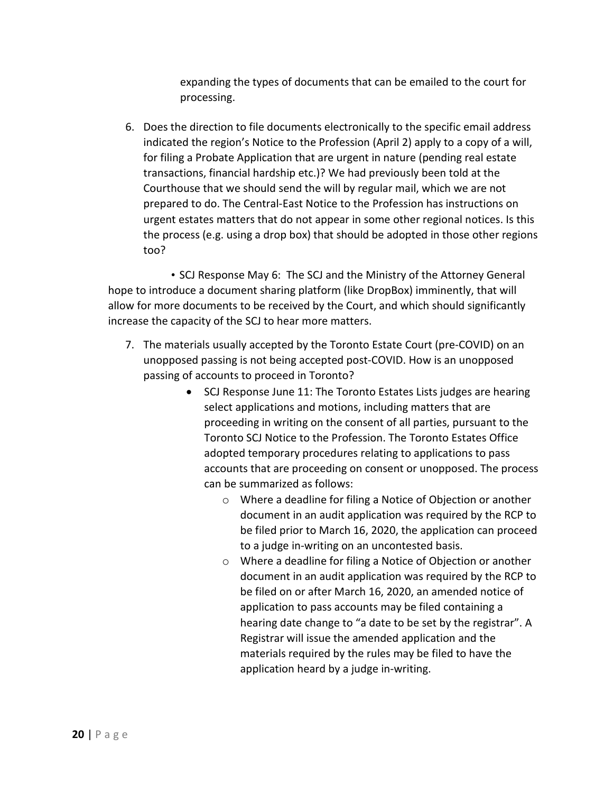expanding the types of documents that can be emailed to the court for processing.

6. Does the direction to file documents electronically to the specific email address indicated the region's Notice to the Profession (April 2) apply to a copy of a will, for filing a Probate Application that are urgent in nature (pending real estate transactions, financial hardship etc.)? We had previously been told at the Courthouse that we should send the will by regular mail, which we are not prepared to do. The Central-East Notice to the Profession has instructions on urgent estates matters that do not appear in some other regional notices. Is this the process (e.g. using a drop box) that should be adopted in those other regions too?

• SCJ Response May 6: The SCJ and the Ministry of the Attorney General hope to introduce a document sharing platform (like DropBox) imminently, that will allow for more documents to be received by the Court, and which should significantly increase the capacity of the SCJ to hear more matters.

- 7. The materials usually accepted by the Toronto Estate Court (pre-COVID) on an unopposed passing is not being accepted post-COVID. How is an unopposed passing of accounts to proceed in Toronto?
	- SCJ Response June 11: The Toronto Estates Lists judges are hearing select applications and motions, including matters that are proceeding in writing on the consent of all parties, pursuant to the Toronto SCJ Notice to the Profession. The Toronto Estates Office adopted temporary procedures relating to applications to pass accounts that are proceeding on consent or unopposed. The process can be summarized as follows:
		- o Where a deadline for filing a Notice of Objection or another document in an audit application was required by the RCP to be filed prior to March 16, 2020, the application can proceed to a judge in-writing on an uncontested basis.
		- o Where a deadline for filing a Notice of Objection or another document in an audit application was required by the RCP to be filed on or after March 16, 2020, an amended notice of application to pass accounts may be filed containing a hearing date change to "a date to be set by the registrar". A Registrar will issue the amended application and the materials required by the rules may be filed to have the application heard by a judge in-writing.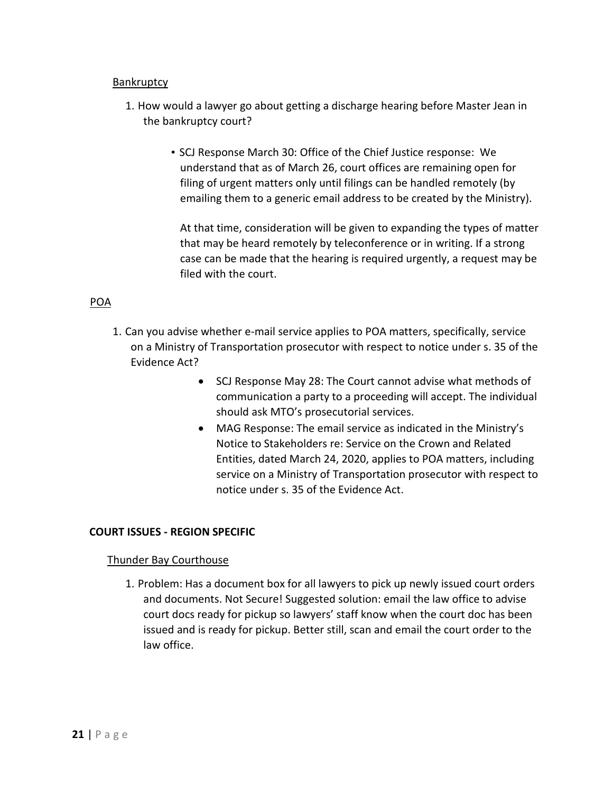#### **Bankruptcy**

- 1. How would a lawyer go about getting a discharge hearing before Master Jean in the bankruptcy court?
	- SCJ Response March 30: Office of the Chief Justice response: We understand that as of March 26, court offices are remaining open for filing of urgent matters only until filings can be handled remotely (by emailing them to a generic email address to be created by the Ministry).

At that time, consideration will be given to expanding the types of matter that may be heard remotely by teleconference or in writing. If a strong case can be made that the hearing is required urgently, a request may be filed with the court.

#### POA

- 1. Can you advise whether e-mail service applies to POA matters, specifically, service on a Ministry of Transportation prosecutor with respect to notice under s. 35 of the Evidence Act?
	- SCJ Response May 28: The Court cannot advise what methods of communication a party to a proceeding will accept. The individual should ask MTO's prosecutorial services.
	- MAG Response: The email service as indicated in the Ministry's Notice to Stakeholders re: Service on the Crown and Related Entities, dated March 24, 2020, applies to POA matters, including service on a Ministry of Transportation prosecutor with respect to notice under s. 35 of the Evidence Act.

#### **COURT ISSUES - REGION SPECIFIC**

#### Thunder Bay Courthouse

1. Problem: Has a document box for all lawyers to pick up newly issued court orders and documents. Not Secure! Suggested solution: email the law office to advise court docs ready for pickup so lawyers' staff know when the court doc has been issued and is ready for pickup. Better still, scan and email the court order to the law office.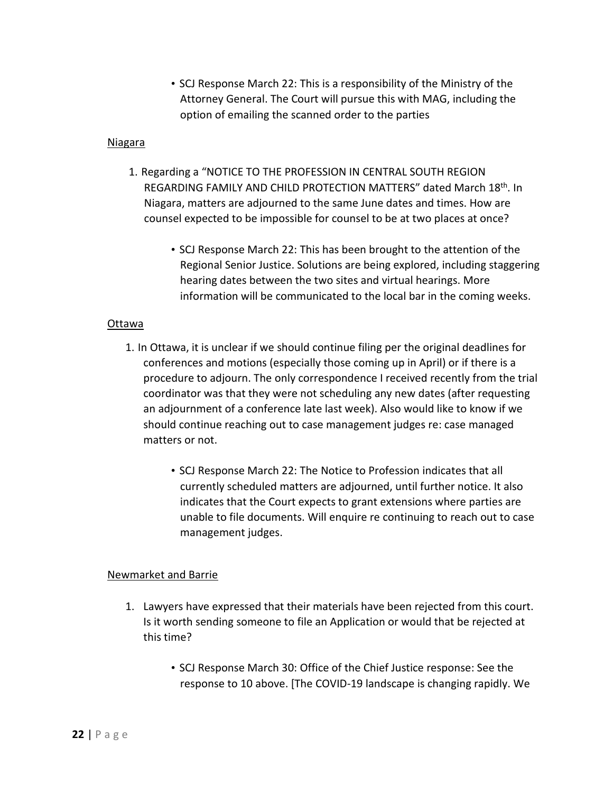• SCJ Response March 22: This is a responsibility of the Ministry of the Attorney General. The Court will pursue this with MAG, including the option of emailing the scanned order to the parties

#### Niagara

- 1. Regarding a "NOTICE TO THE PROFESSION IN CENTRAL SOUTH REGION REGARDING FAMILY AND CHILD PROTECTION MATTERS" dated March 18<sup>th</sup>. In Niagara, matters are adjourned to the same June dates and times. How are counsel expected to be impossible for counsel to be at two places at once?
	- SCJ Response March 22: This has been brought to the attention of the Regional Senior Justice. Solutions are being explored, including staggering hearing dates between the two sites and virtual hearings. More information will be communicated to the local bar in the coming weeks.

#### Ottawa

- 1. In Ottawa, it is unclear if we should continue filing per the original deadlines for conferences and motions (especially those coming up in April) or if there is a procedure to adjourn. The only correspondence I received recently from the trial coordinator was that they were not scheduling any new dates (after requesting an adjournment of a conference late last week). Also would like to know if we should continue reaching out to case management judges re: case managed matters or not.
	- SCJ Response March 22: The Notice to Profession indicates that all currently scheduled matters are adjourned, until further notice. It also indicates that the Court expects to grant extensions where parties are unable to file documents. Will enquire re continuing to reach out to case management judges.

#### Newmarket and Barrie

- 1. Lawyers have expressed that their materials have been rejected from this court. Is it worth sending someone to file an Application or would that be rejected at this time?
	- SCJ Response March 30: Office of the Chief Justice response: See the response to 10 above. [The COVID-19 landscape is changing rapidly. We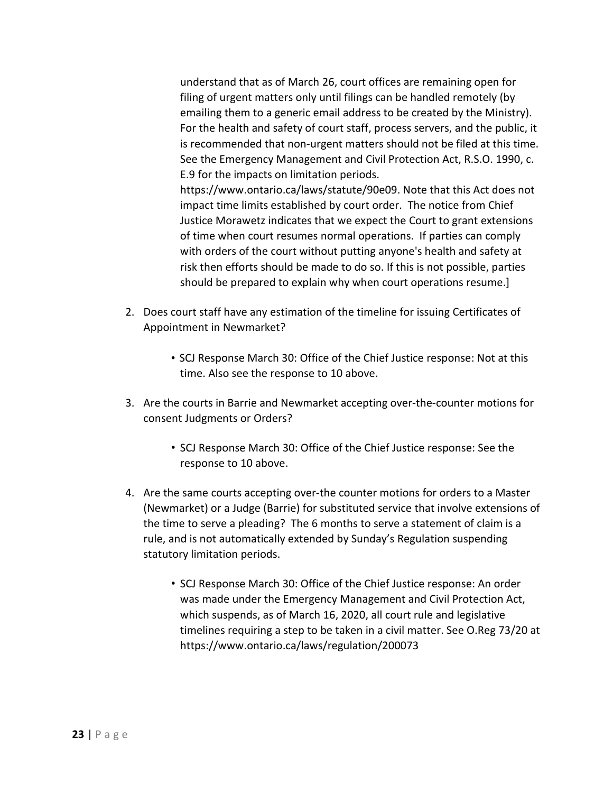understand that as of March 26, court offices are remaining open for filing of urgent matters only until filings can be handled remotely (by emailing them to a generic email address to be created by the Ministry). For the health and safety of court staff, process servers, and the public, it is recommended that non-urgent matters should not be filed at this time. See the Emergency Management and Civil Protection Act, R.S.O. 1990, c. E.9 for the impacts on limitation periods.

https://www.ontario.ca/laws/statute/90e09. Note that this Act does not impact time limits established by court order. The notice from Chief Justice Morawetz indicates that we expect the Court to grant extensions of time when court resumes normal operations. If parties can comply with orders of the court without putting anyone's health and safety at risk then efforts should be made to do so. If this is not possible, parties should be prepared to explain why when court operations resume.]

- 2. Does court staff have any estimation of the timeline for issuing Certificates of Appointment in Newmarket?
	- SCJ Response March 30: Office of the Chief Justice response: Not at this time. Also see the response to 10 above.
- 3. Are the courts in Barrie and Newmarket accepting over-the-counter motions for consent Judgments or Orders?
	- SCJ Response March 30: Office of the Chief Justice response: See the response to 10 above.
- 4. Are the same courts accepting over-the counter motions for orders to a Master (Newmarket) or a Judge (Barrie) for substituted service that involve extensions of the time to serve a pleading? The 6 months to serve a statement of claim is a rule, and is not automatically extended by Sunday's Regulation suspending statutory limitation periods.
	- SCJ Response March 30: Office of the Chief Justice response: An order was made under the Emergency Management and Civil Protection Act, which suspends, as of March 16, 2020, all court rule and legislative timelines requiring a step to be taken in a civil matter. See O.Reg 73/20 at https://www.ontario.ca/laws/regulation/200073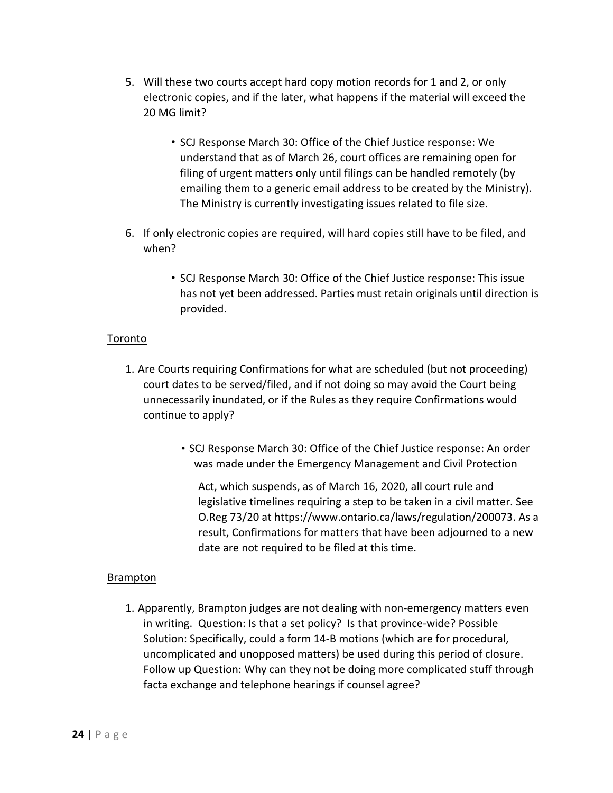- 5. Will these two courts accept hard copy motion records for 1 and 2, or only electronic copies, and if the later, what happens if the material will exceed the 20 MG limit?
	- SCJ Response March 30: Office of the Chief Justice response: We understand that as of March 26, court offices are remaining open for filing of urgent matters only until filings can be handled remotely (by emailing them to a generic email address to be created by the Ministry). The Ministry is currently investigating issues related to file size.
- 6. If only electronic copies are required, will hard copies still have to be filed, and when?
	- SCJ Response March 30: Office of the Chief Justice response: This issue has not yet been addressed. Parties must retain originals until direction is provided.

#### Toronto

- 1. Are Courts requiring Confirmations for what are scheduled (but not proceeding) court dates to be served/filed, and if not doing so may avoid the Court being unnecessarily inundated, or if the Rules as they require Confirmations would continue to apply?
	- SCJ Response March 30: Office of the Chief Justice response: An order was made under the Emergency Management and Civil Protection

Act, which suspends, as of March 16, 2020, all court rule and legislative timelines requiring a step to be taken in a civil matter. See O.Reg 73/20 at https://www.ontario.ca/laws/regulation/200073. As a result, Confirmations for matters that have been adjourned to a new date are not required to be filed at this time.

#### Brampton

1. Apparently, Brampton judges are not dealing with non-emergency matters even in writing. Question: Is that a set policy? Is that province-wide? Possible Solution: Specifically, could a form 14-B motions (which are for procedural, uncomplicated and unopposed matters) be used during this period of closure. Follow up Question: Why can they not be doing more complicated stuff through facta exchange and telephone hearings if counsel agree?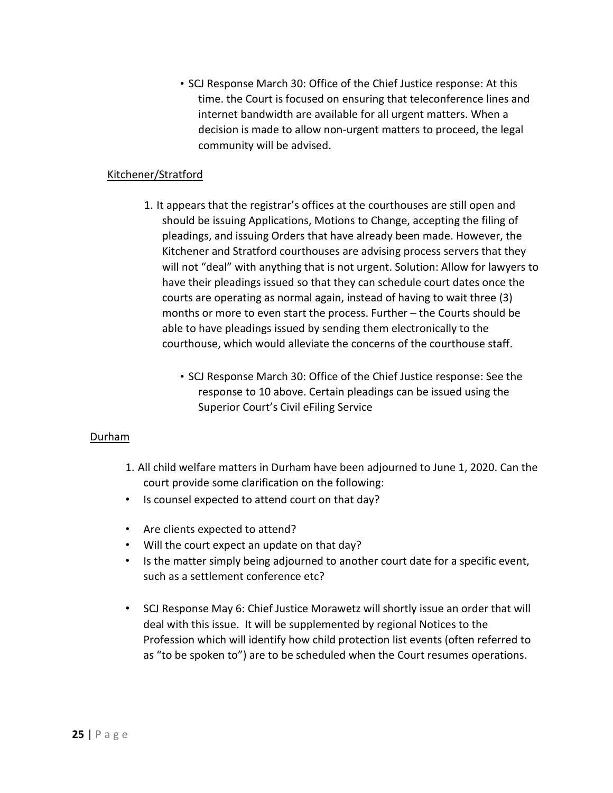• SCJ Response March 30: Office of the Chief Justice response: At this time. the Court is focused on ensuring that teleconference lines and internet bandwidth are available for all urgent matters. When a decision is made to allow non-urgent matters to proceed, the legal community will be advised.

#### Kitchener/Stratford

- 1. It appears that the registrar's offices at the courthouses are still open and should be issuing Applications, Motions to Change, accepting the filing of pleadings, and issuing Orders that have already been made. However, the Kitchener and Stratford courthouses are advising process servers that they will not "deal" with anything that is not urgent. Solution: Allow for lawyers to have their pleadings issued so that they can schedule court dates once the courts are operating as normal again, instead of having to wait three (3) months or more to even start the process. Further – the Courts should be able to have pleadings issued by sending them electronically to the courthouse, which would alleviate the concerns of the courthouse staff.
	- SCJ Response March 30: Office of the Chief Justice response: See the response to 10 above. Certain pleadings can be issued using the Superior Court's Civil eFiling Service

#### Durham

- 1. All child welfare matters in Durham have been adjourned to June 1, 2020. Can the court provide some clarification on the following:
- Is counsel expected to attend court on that day?
- Are clients expected to attend?
- Will the court expect an update on that day?
- Is the matter simply being adjourned to another court date for a specific event, such as a settlement conference etc?
- SCJ Response May 6: Chief Justice Morawetz will shortly issue an order that will deal with this issue. It will be supplemented by regional Notices to the Profession which will identify how child protection list events (often referred to as "to be spoken to") are to be scheduled when the Court resumes operations.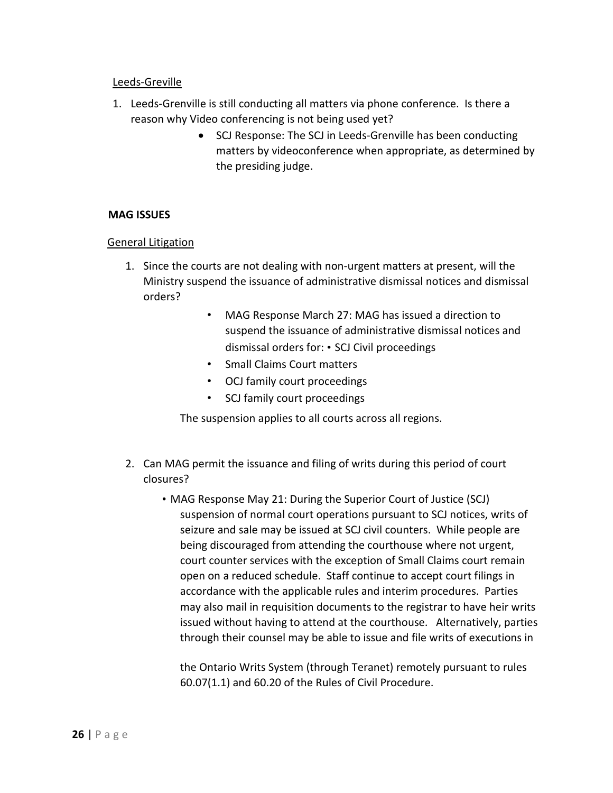#### Leeds-Greville

- 1. Leeds-Grenville is still conducting all matters via phone conference. Is there a reason why Video conferencing is not being used yet?
	- SCJ Response: The SCJ in Leeds-Grenville has been conducting matters by videoconference when appropriate, as determined by the presiding judge.

#### **MAG ISSUES**

#### General Litigation

- 1. Since the courts are not dealing with non-urgent matters at present, will the Ministry suspend the issuance of administrative dismissal notices and dismissal orders?
	- MAG Response March 27: MAG has issued a direction to suspend the issuance of administrative dismissal notices and dismissal orders for: • SCJ Civil proceedings
	- Small Claims Court matters
	- OCJ family court proceedings
	- SCJ family court proceedings

The suspension applies to all courts across all regions.

- 2. Can MAG permit the issuance and filing of writs during this period of court closures?
	- MAG Response May 21: During the Superior Court of Justice (SCJ) suspension of normal court operations pursuant to SCJ notices, writs of seizure and sale may be issued at SCJ civil counters. While people are being discouraged from attending the courthouse where not urgent, court counter services with the exception of Small Claims court remain open on a reduced schedule. Staff continue to accept court filings in accordance with the applicable rules and interim procedures. Parties may also mail in requisition documents to the registrar to have heir writs issued without having to attend at the courthouse. Alternatively, parties through their counsel may be able to issue and file writs of executions in

the Ontario Writs System (through Teranet) remotely pursuant to rules 60.07(1.1) and 60.20 of the Rules of Civil Procedure.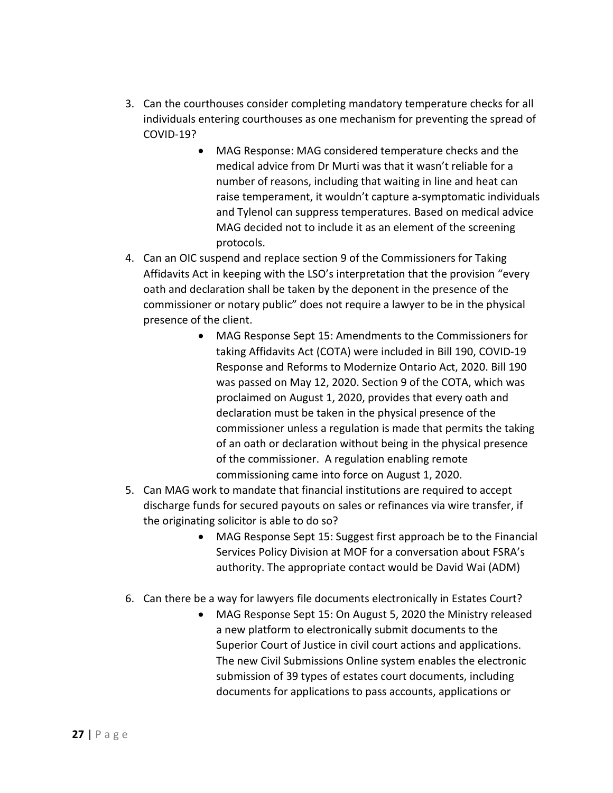- 3. Can the courthouses consider completing mandatory temperature checks for all individuals entering courthouses as one mechanism for preventing the spread of COVID-19?
	- MAG Response: MAG considered temperature checks and the medical advice from Dr Murti was that it wasn't reliable for a number of reasons, including that waiting in line and heat can raise temperament, it wouldn't capture a-symptomatic individuals and Tylenol can suppress temperatures. Based on medical advice MAG decided not to include it as an element of the screening protocols.
- 4. Can an OIC suspend and replace section 9 of the Commissioners for Taking Affidavits Act in keeping with the LSO's interpretation that the provision "every oath and declaration shall be taken by the deponent in the presence of the commissioner or notary public" does not require a lawyer to be in the physical presence of the client.
	- MAG Response Sept 15: Amendments to the Commissioners for taking Affidavits Act (COTA) were included in Bill 190, COVID-19 Response and Reforms to Modernize Ontario Act, 2020. Bill 190 was passed on May 12, 2020. Section 9 of the COTA, which was proclaimed on August 1, 2020, provides that every oath and declaration must be taken in the physical presence of the commissioner unless a regulation is made that permits the taking of an oath or declaration without being in the physical presence of the commissioner. A regulation enabling remote commissioning came into force on August 1, 2020.
- 5. Can MAG work to mandate that financial institutions are required to accept discharge funds for secured payouts on sales or refinances via wire transfer, if the originating solicitor is able to do so?
	- MAG Response Sept 15: Suggest first approach be to the Financial Services Policy Division at MOF for a conversation about FSRA's authority. The appropriate contact would be David Wai (ADM)
- 6. Can there be a way for lawyers file documents electronically in Estates Court?
	- MAG Response Sept 15: On August 5, 2020 the Ministry released a new platform to electronically submit documents to the Superior Court of Justice in civil court actions and applications. The new Civil Submissions Online system enables the electronic submission of 39 types of estates court documents, including documents for applications to pass accounts, applications or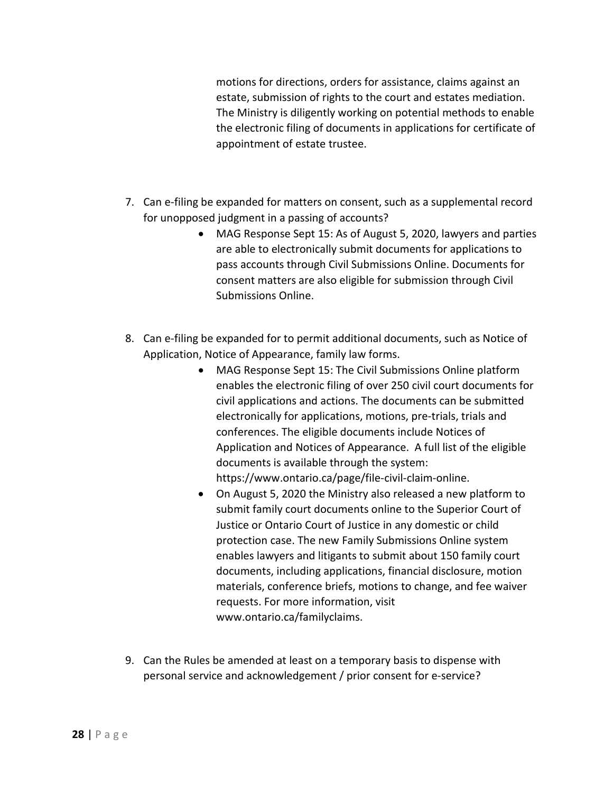motions for directions, orders for assistance, claims against an estate, submission of rights to the court and estates mediation. The Ministry is diligently working on potential methods to enable the electronic filing of documents in applications for certificate of appointment of estate trustee.

- 7. Can e-filing be expanded for matters on consent, such as a supplemental record for unopposed judgment in a passing of accounts?
	- MAG Response Sept 15: As of August 5, 2020, lawyers and parties are able to electronically submit documents for applications to pass accounts through Civil Submissions Online. Documents for consent matters are also eligible for submission through Civil Submissions Online.
- 8. Can e-filing be expanded for to permit additional documents, such as Notice of Application, Notice of Appearance, family law forms.
	- MAG Response Sept 15: The Civil Submissions Online platform enables the electronic filing of over 250 civil court documents for civil applications and actions. The documents can be submitted electronically for applications, motions, pre-trials, trials and conferences. The eligible documents include Notices of Application and Notices of Appearance. A full list of the eligible documents is available through the system: https://www.ontario.ca/page/file-civil-claim-online.
	- On August 5, 2020 the Ministry also released a new platform to submit family court documents online to the Superior Court of Justice or Ontario Court of Justice in any domestic or child protection case. The new Family Submissions Online system enables lawyers and litigants to submit about 150 family court documents, including applications, financial disclosure, motion materials, conference briefs, motions to change, and fee waiver requests. For more information, visit www.ontario.ca/familyclaims.
- 9. Can the Rules be amended at least on a temporary basis to dispense with personal service and acknowledgement / prior consent for e-service?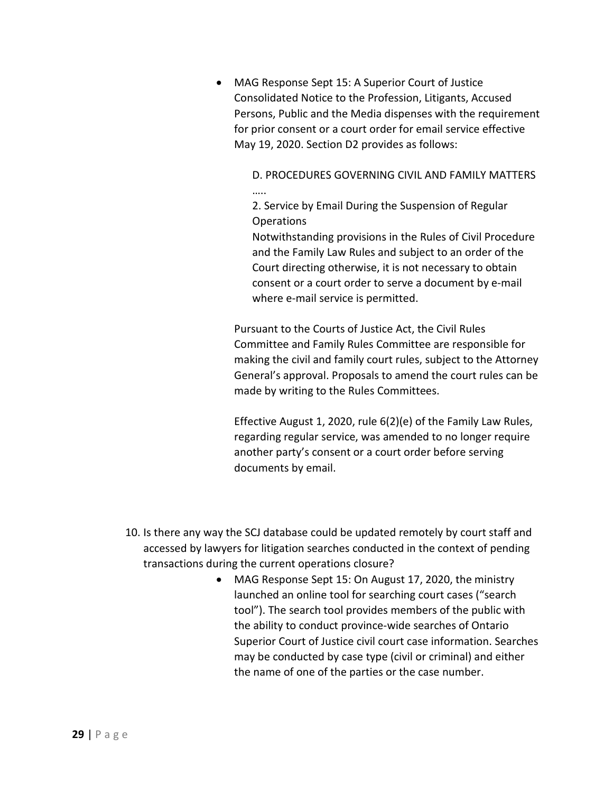• MAG Response Sept 15: A Superior Court of Justice Consolidated Notice to the Profession, Litigants, Accused Persons, Public and the Media dispenses with the requirement for prior consent or a court order for email service effective May 19, 2020. Section D2 provides as follows:

> D. PROCEDURES GOVERNING CIVIL AND FAMILY MATTERS …..

2. Service by Email During the Suspension of Regular Operations

Notwithstanding provisions in the Rules of Civil Procedure and the Family Law Rules and subject to an order of the Court directing otherwise, it is not necessary to obtain consent or a court order to serve a document by e-mail where e-mail service is permitted.

Pursuant to the Courts of Justice Act, the Civil Rules Committee and Family Rules Committee are responsible for making the civil and family court rules, subject to the Attorney General's approval. Proposals to amend the court rules can be made by writing to the Rules Committees.

Effective August 1, 2020, rule 6(2)(e) of the Family Law Rules, regarding regular service, was amended to no longer require another party's consent or a court order before serving documents by email.

- 10. Is there any way the SCJ database could be updated remotely by court staff and accessed by lawyers for litigation searches conducted in the context of pending transactions during the current operations closure?
	- MAG Response Sept 15: On August 17, 2020, the ministry launched an online tool for searching court cases ("search tool"). The search tool provides members of the public with the ability to conduct province-wide searches of Ontario Superior Court of Justice civil court case information. Searches may be conducted by case type (civil or criminal) and either the name of one of the parties or the case number.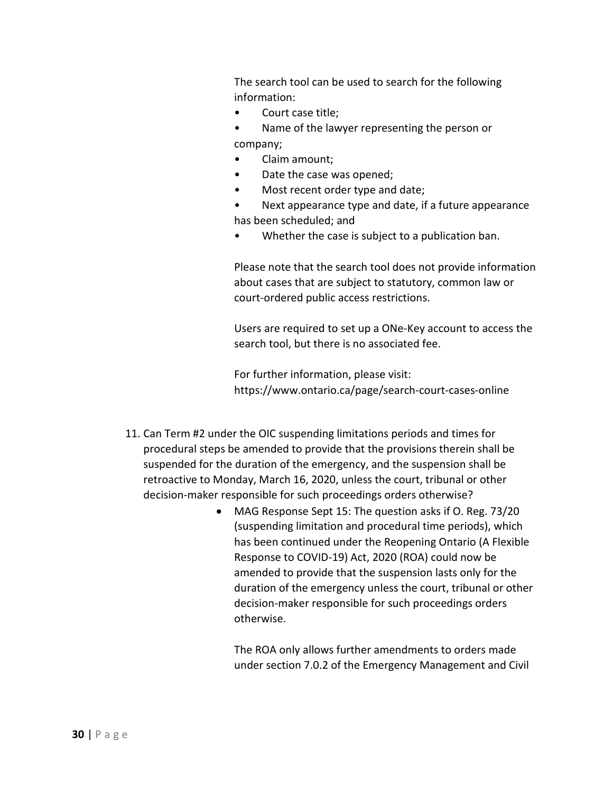The search tool can be used to search for the following information:

- Court case title;
- Name of the lawyer representing the person or company;
- Claim amount;
- Date the case was opened;
- Most recent order type and date;
- Next appearance type and date, if a future appearance has been scheduled; and
- Whether the case is subject to a publication ban.

Please note that the search tool does not provide information about cases that are subject to statutory, common law or court-ordered public access restrictions.

Users are required to set up a ONe-Key account to access the search tool, but there is no associated fee.

For further information, please visit: https://www.ontario.ca/page/search-court-cases-online

- 11. Can Term #2 under the OIC suspending limitations periods and times for procedural steps be amended to provide that the provisions therein shall be suspended for the duration of the emergency, and the suspension shall be retroactive to Monday, March 16, 2020, unless the court, tribunal or other decision-maker responsible for such proceedings orders otherwise?
	- MAG Response Sept 15: The question asks if O. Reg. 73/20 (suspending limitation and procedural time periods), which has been continued under the Reopening Ontario (A Flexible Response to COVID-19) Act, 2020 (ROA) could now be amended to provide that the suspension lasts only for the duration of the emergency unless the court, tribunal or other decision-maker responsible for such proceedings orders otherwise.

The ROA only allows further amendments to orders made under section 7.0.2 of the Emergency Management and Civil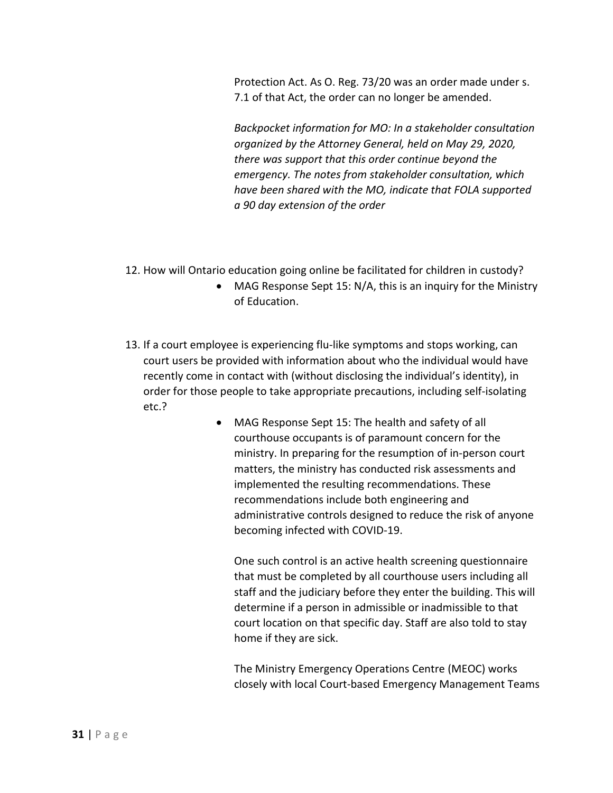Protection Act. As O. Reg. 73/20 was an order made under s. 7.1 of that Act, the order can no longer be amended.

*Backpocket information for MO: In a stakeholder consultation organized by the Attorney General, held on May 29, 2020, there was support that this order continue beyond the emergency. The notes from stakeholder consultation, which have been shared with the MO, indicate that FOLA supported a 90 day extension of the order*

- 12. How will Ontario education going online be facilitated for children in custody?
	- MAG Response Sept 15: N/A, this is an inquiry for the Ministry of Education.
- 13. If a court employee is experiencing flu-like symptoms and stops working, can court users be provided with information about who the individual would have recently come in contact with (without disclosing the individual's identity), in order for those people to take appropriate precautions, including self-isolating etc.?
	- MAG Response Sept 15: The health and safety of all courthouse occupants is of paramount concern for the ministry. In preparing for the resumption of in-person court matters, the ministry has conducted risk assessments and implemented the resulting recommendations. These recommendations include both engineering and administrative controls designed to reduce the risk of anyone becoming infected with COVID-19.

One such control is an active health screening questionnaire that must be completed by all courthouse users including all staff and the judiciary before they enter the building. This will determine if a person in admissible or inadmissible to that court location on that specific day. Staff are also told to stay home if they are sick.

The Ministry Emergency Operations Centre (MEOC) works closely with local Court-based Emergency Management Teams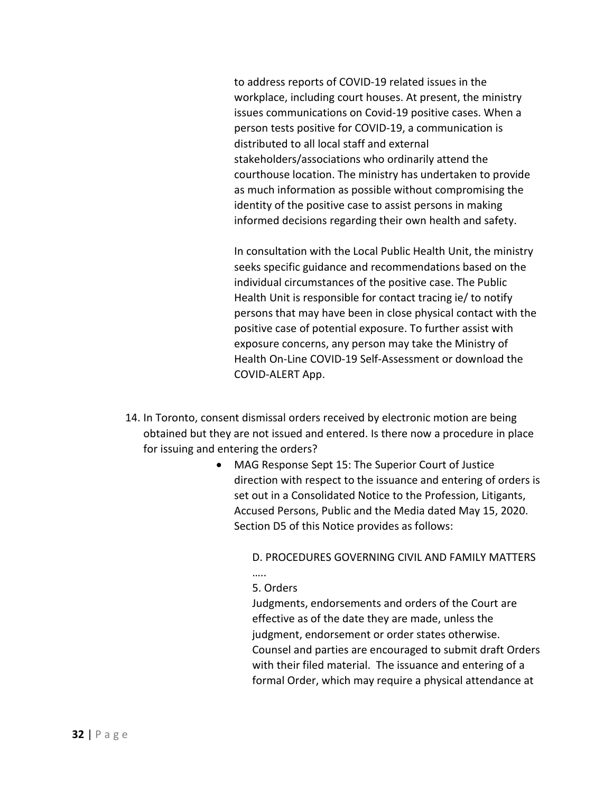to address reports of COVID-19 related issues in the workplace, including court houses. At present, the ministry issues communications on Covid-19 positive cases. When a person tests positive for COVID-19, a communication is distributed to all local staff and external stakeholders/associations who ordinarily attend the courthouse location. The ministry has undertaken to provide as much information as possible without compromising the identity of the positive case to assist persons in making informed decisions regarding their own health and safety.

In consultation with the Local Public Health Unit, the ministry seeks specific guidance and recommendations based on the individual circumstances of the positive case. The Public Health Unit is responsible for contact tracing ie/ to notify persons that may have been in close physical contact with the positive case of potential exposure. To further assist with exposure concerns, any person may take the Ministry of Health On-Line COVID-19 Self-Assessment or download the COVID-ALERT App.

- 14. In Toronto, consent dismissal orders received by electronic motion are being obtained but they are not issued and entered. Is there now a procedure in place for issuing and entering the orders?
	- MAG Response Sept 15: The Superior Court of Justice direction with respect to the issuance and entering of orders is set out in a Consolidated Notice to the Profession, Litigants, Accused Persons, Public and the Media dated May 15, 2020. Section D5 of this Notice provides as follows:

D. PROCEDURES GOVERNING CIVIL AND FAMILY MATTERS

## 5. Orders

……

Judgments, endorsements and orders of the Court are effective as of the date they are made, unless the judgment, endorsement or order states otherwise. Counsel and parties are encouraged to submit draft Orders with their filed material. The issuance and entering of a formal Order, which may require a physical attendance at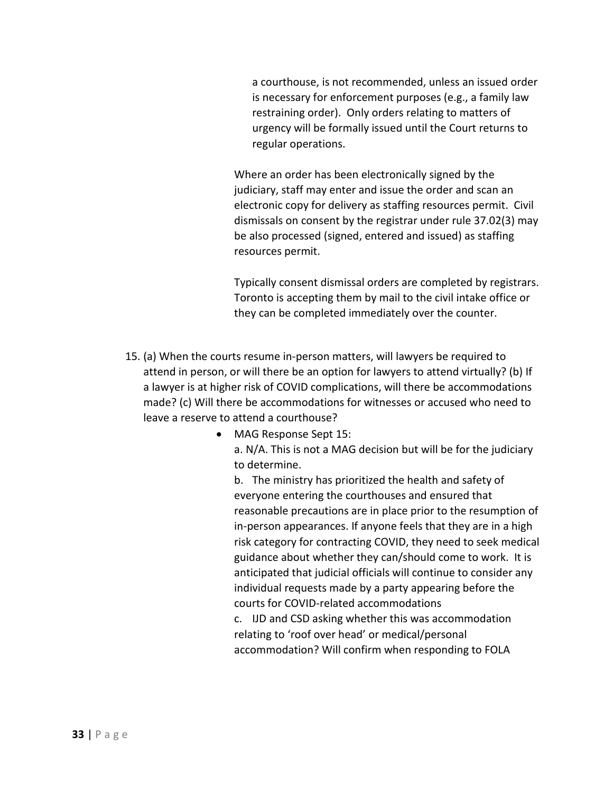a courthouse, is not recommended, unless an issued order is necessary for enforcement purposes (e.g., a family law restraining order). Only orders relating to matters of urgency will be formally issued until the Court returns to regular operations.

Where an order has been electronically signed by the judiciary, staff may enter and issue the order and scan an electronic copy for delivery as staffing resources permit. Civil dismissals on consent by the registrar under rule 37.02(3) may be also processed (signed, entered and issued) as staffing resources permit.

Typically consent dismissal orders are completed by registrars. Toronto is accepting them by mail to the civil intake office or they can be completed immediately over the counter.

- 15. (a) When the courts resume in-person matters, will lawyers be required to attend in person, or will there be an option for lawyers to attend virtually? (b) If a lawyer is at higher risk of COVID complications, will there be accommodations made? (c) Will there be accommodations for witnesses or accused who need to leave a reserve to attend a courthouse?
	- MAG Response Sept 15:

a. N/A. This is not a MAG decision but will be for the judiciary to determine.

b. The ministry has prioritized the health and safety of everyone entering the courthouses and ensured that reasonable precautions are in place prior to the resumption of in-person appearances. If anyone feels that they are in a high risk category for contracting COVID, they need to seek medical guidance about whether they can/should come to work. It is anticipated that judicial officials will continue to consider any individual requests made by a party appearing before the courts for COVID-related accommodations c. IJD and CSD asking whether this was accommodation relating to 'roof over head' or medical/personal

accommodation? Will confirm when responding to FOLA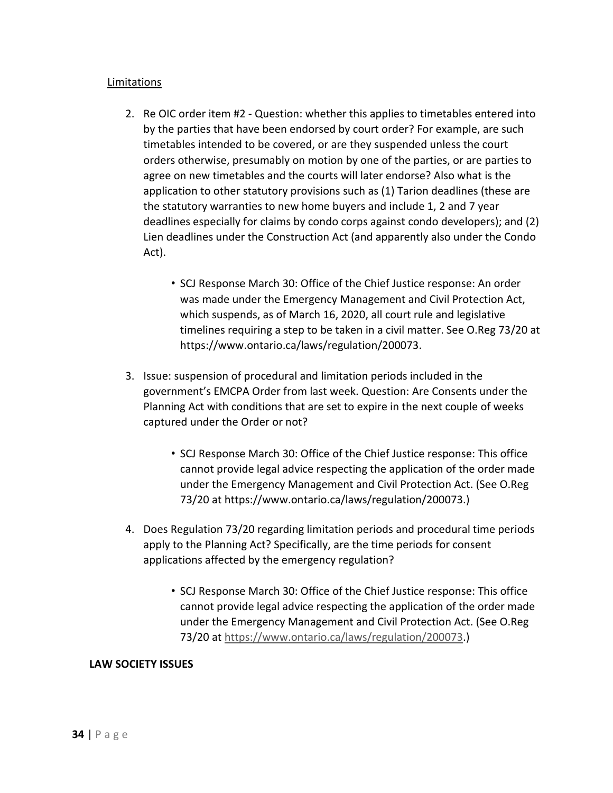#### Limitations

- 2. Re OIC order item #2 Question: whether this applies to timetables entered into by the parties that have been endorsed by court order? For example, are such timetables intended to be covered, or are they suspended unless the court orders otherwise, presumably on motion by one of the parties, or are parties to agree on new timetables and the courts will later endorse? Also what is the application to other statutory provisions such as (1) Tarion deadlines (these are the statutory warranties to new home buyers and include 1, 2 and 7 year deadlines especially for claims by condo corps against condo developers); and (2) Lien deadlines under the Construction Act (and apparently also under the Condo Act).
	- SCJ Response March 30: Office of the Chief Justice response: An order was made under the Emergency Management and Civil Protection Act, which suspends, as of March 16, 2020, all court rule and legislative timelines requiring a step to be taken in a civil matter. See O.Reg 73/20 at https://www.ontario.ca/laws/regulation/200073.
- 3. Issue: suspension of procedural and limitation periods included in the government's EMCPA Order from last week. Question: Are Consents under the Planning Act with conditions that are set to expire in the next couple of weeks captured under the Order or not?
	- SCJ Response March 30: Office of the Chief Justice response: This office cannot provide legal advice respecting the application of the order made under the Emergency Management and Civil Protection Act. (See O.Reg 73/20 at https://www.ontario.ca/laws/regulation/200073.)
- 4. Does Regulation 73/20 regarding limitation periods and procedural time periods apply to the Planning Act? Specifically, are the time periods for consent applications affected by the emergency regulation?
	- SCJ Response March 30: Office of the Chief Justice response: This office cannot provide legal advice respecting the application of the order made under the Emergency Management and Civil Protection Act. (See O.Reg 73/20 at https://www.ontario.ca/laws/regulation/200073.)

#### **LAW SOCIETY ISSUES**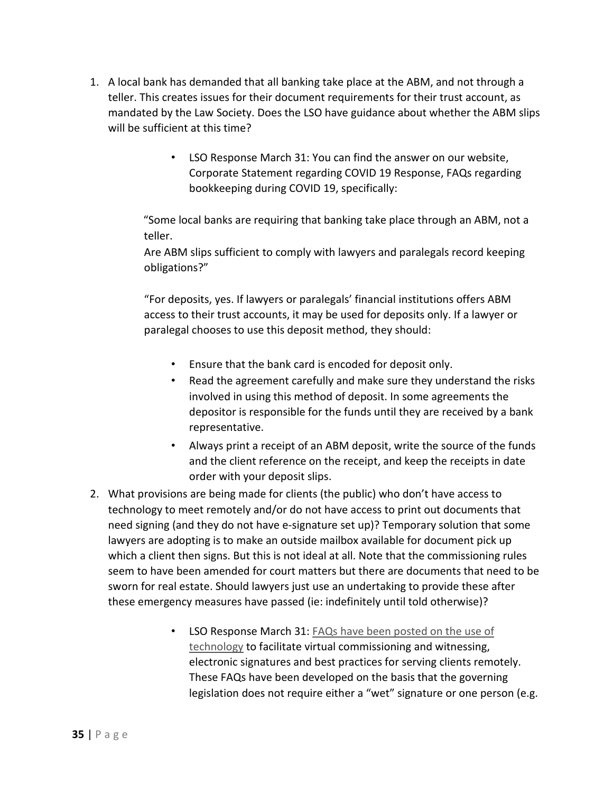- 1. A local bank has demanded that all banking take place at the ABM, and not through a teller. This creates issues for their document requirements for their trust account, as mandated by the Law Society. Does the LSO have guidance about whether the ABM slips will be sufficient at this time?
	- LSO Response March 31: You can find the answer on our website, Corporate Statement regarding COVID 19 Response, FAQs regarding bookkeeping during COVID 19, specifically:

"Some local banks are requiring that banking take place through an ABM, not a teller.

Are ABM slips sufficient to comply with lawyers and paralegals record keeping obligations?"

"For deposits, yes. If lawyers or paralegals' financial institutions offers ABM access to their trust accounts, it may be used for deposits only. If a lawyer or paralegal chooses to use this deposit method, they should:

- Ensure that the bank card is encoded for deposit only.
- Read the agreement carefully and make sure they understand the risks involved in using this method of deposit. In some agreements the depositor is responsible for the funds until they are received by a bank representative.
- Always print a receipt of an ABM deposit, write the source of the funds and the client reference on the receipt, and keep the receipts in date order with your deposit slips.
- 2. What provisions are being made for clients (the public) who don't have access to technology to meet remotely and/or do not have access to print out documents that need signing (and they do not have e-signature set up)? Temporary solution that some lawyers are adopting is to make an outside mailbox available for document pick up which a client then signs. But this is not ideal at all. Note that the commissioning rules seem to have been amended for court matters but there are documents that need to be sworn for real estate. Should lawyers just use an undertaking to provide these after these emergency measures have passed (ie: indefinitely until told otherwise)?
	- LSO Response March 31: FAQs have been posted on the use of technology to facilitate virtual commissioning and witnessing, electronic signatures and best practices for serving clients remotely. These FAQs have been developed on the basis that the governing legislation does not require either a "wet" signature or one person (e.g.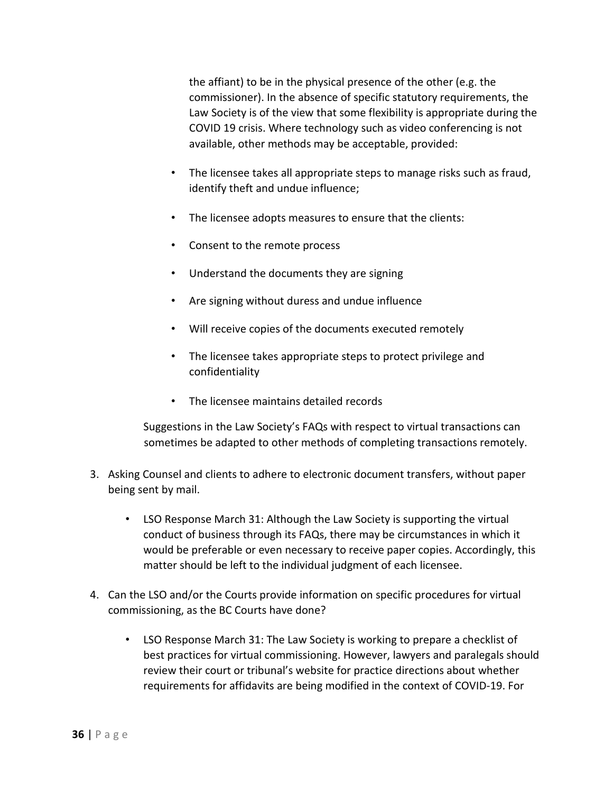the affiant) to be in the physical presence of the other (e.g. the commissioner). In the absence of specific statutory requirements, the Law Society is of the view that some flexibility is appropriate during the COVID 19 crisis. Where technology such as video conferencing is not available, other methods may be acceptable, provided:

- The licensee takes all appropriate steps to manage risks such as fraud, identify theft and undue influence;
- The licensee adopts measures to ensure that the clients:
- Consent to the remote process
- Understand the documents they are signing
- Are signing without duress and undue influence
- Will receive copies of the documents executed remotely
- The licensee takes appropriate steps to protect privilege and confidentiality
- The licensee maintains detailed records

Suggestions in the Law Society's FAQs with respect to virtual transactions can sometimes be adapted to other methods of completing transactions remotely.

- 3. Asking Counsel and clients to adhere to electronic document transfers, without paper being sent by mail.
	- LSO Response March 31: Although the Law Society is supporting the virtual conduct of business through its FAQs, there may be circumstances in which it would be preferable or even necessary to receive paper copies. Accordingly, this matter should be left to the individual judgment of each licensee.
- 4. Can the LSO and/or the Courts provide information on specific procedures for virtual commissioning, as the BC Courts have done?
	- LSO Response March 31: The Law Society is working to prepare a checklist of best practices for virtual commissioning. However, lawyers and paralegals should review their court or tribunal's website for practice directions about whether requirements for affidavits are being modified in the context of COVID-19. For